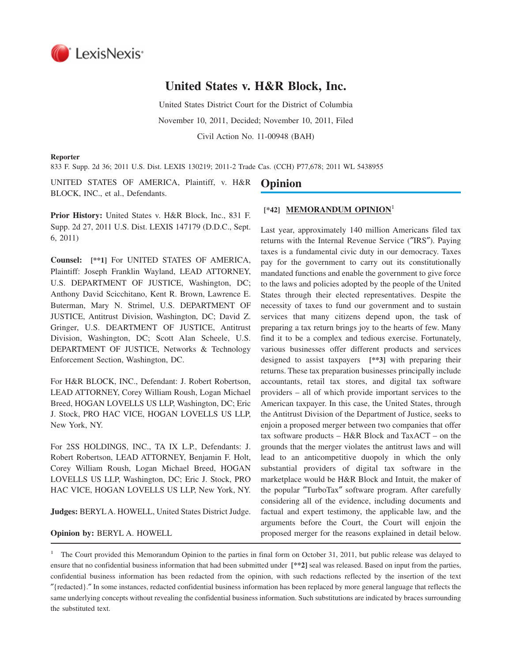

# **United States v. H&R Block, Inc.**

United States District Court for the District of Columbia November 10, 2011, Decided; November 10, 2011, Filed Civil Action No. 11-00948 (BAH)

#### **Reporter**

833 F. Supp. 2d 36; 2011 U.S. Dist. LEXIS 130219; 2011-2 Trade Cas. (CCH) P77,678; 2011 WL 5438955

UNITED STATES OF AMERICA, Plaintiff, v. H&R BLOCK, INC., et al., Defendants.

**Prior History:** United States v. H&R Block, Inc., 831 F. Supp. 2d 27, 2011 U.S. Dist. LEXIS 147179 (D.D.C., Sept. 6, 2011)

**Counsel: [\*\*1]** For UNITED STATES OF AMERICA, Plaintiff: Joseph Franklin Wayland, LEAD ATTORNEY, U.S. DEPARTMENT OF JUSTICE, Washington, DC; Anthony David Scicchitano, Kent R. Brown, Lawrence E. Buterman, Mary N. Strimel, U.S. DEPARTMENT OF JUSTICE, Antitrust Division, Washington, DC; David Z. Gringer, U.S. DEARTMENT OF JUSTICE, Antitrust Division, Washington, DC; Scott Alan Scheele, U.S. DEPARTMENT OF JUSTICE, Networks & Technology Enforcement Section, Washington, DC.

For H&R BLOCK, INC., Defendant: J. Robert Robertson, LEAD ATTORNEY, Corey William Roush, Logan Michael Breed, HOGAN LOVELLS US LLP, Washington, DC; Eric J. Stock, PRO HAC VICE, HOGAN LOVELLS US LLP, New York, NY.

For 2SS HOLDINGS, INC., TA IX L.P., Defendants: J. Robert Robertson, LEAD ATTORNEY, Benjamin F. Holt, Corey William Roush, Logan Michael Breed, HOGAN LOVELLS US LLP, Washington, DC; Eric J. Stock, PRO HAC VICE, HOGAN LOVELLS US LLP, New York, NY.

**Judges:** BERYLA. HOWELL, United States District Judge.

#### **Opinion by:** BERYL A. HOWELL

# **Opinion**

# **[\*42] MEMORANDUM OPINION**<sup>1</sup>

Last year, approximately 140 million Americans filed tax returns with the Internal Revenue Service (″IRS″). Paying taxes is a fundamental civic duty in our democracy. Taxes pay for the government to carry out its constitutionally mandated functions and enable the government to give force to the laws and policies adopted by the people of the United States through their elected representatives. Despite the necessity of taxes to fund our government and to sustain services that many citizens depend upon, the task of preparing a tax return brings joy to the hearts of few. Many find it to be a complex and tedious exercise. Fortunately, various businesses offer different products and services designed to assist taxpayers **[\*\*3]** with preparing their returns. These tax preparation businesses principally include accountants, retail tax stores, and digital tax software providers – all of which provide important services to the American taxpayer. In this case, the United States, through the Antitrust Division of the Department of Justice, seeks to enjoin a proposed merger between two companies that offer tax software products – H&R Block and TaxACT – on the grounds that the merger violates the antitrust laws and will lead to an anticompetitive duopoly in which the only substantial providers of digital tax software in the marketplace would be H&R Block and Intuit, the maker of the popular ″TurboTax″ software program. After carefully considering all of the evidence, including documents and factual and expert testimony, the applicable law, and the arguments before the Court, the Court will enjoin the proposed merger for the reasons explained in detail below.

1 The Court provided this Memorandum Opinion to the parties in final form on October 31, 2011, but public release was delayed to ensure that no confidential business information that had been submitted under **[\*\*2]** seal was released. Based on input from the parties, confidential business information has been redacted from the opinion, with such redactions reflected by the insertion of the text ″{redacted}.″ In some instances, redacted confidential business information has been replaced by more general language that reflects the same underlying concepts without revealing the confidential business information. Such substitutions are indicated by braces surrounding the substituted text.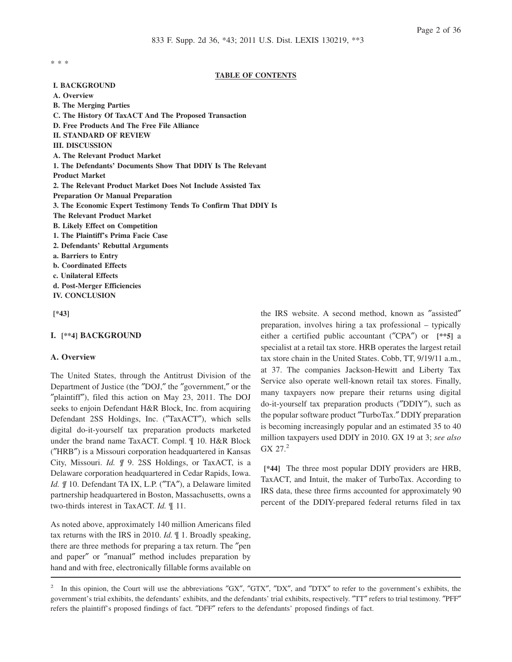\* \* \*

### **TABLE OF CONTENTS**

**I. BACKGROUND A. Overview B. The Merging Parties C. The History Of TaxACT And The Proposed Transaction D. Free Products And The Free File Alliance II. STANDARD OF REVIEW III. DISCUSSION A. The Relevant Product Market 1. The Defendants' Documents Show That DDIY Is The Relevant Product Market 2. The Relevant Product Market Does Not Include Assisted Tax Preparation Or Manual Preparation 3. The Economic Expert Testimony Tends To Confirm That DDIY Is The Relevant Product Market B. Likely Effect on Competition 1. The Plaintiff's Prima Facie Case 2. Defendants' Rebuttal Arguments a. Barriers to Entry b. Coordinated Effects c. Unilateral Effects d. Post-Merger Efficiencies IV. CONCLUSION**

**[\*43]**

#### **I. [\*\*4] BACKGROUND**

### **A. Overview**

The United States, through the Antitrust Division of the Department of Justice (the ″DOJ,″ the ″government,″ or the ″plaintiff″), filed this action on May 23, 2011. The DOJ seeks to enjoin Defendant H&R Block, Inc. from acquiring Defendant 2SS Holdings, Inc. (″TaxACT″), which sells digital do-it-yourself tax preparation products marketed under the brand name TaxACT. Compl. ¶ 10. H&R Block (″HRB″) is a Missouri corporation headquartered in Kansas City, Missouri. *Id. ¶* 9. 2SS Holdings, or TaxACT, is a Delaware corporation headquartered in Cedar Rapids, Iowa. *Id.*  $\text{/}$  10. Defendant TA IX, L.P. ("TA"), a Delaware limited partnership headquartered in Boston, Massachusetts, owns a two-thirds interest in TaxACT. *Id.* ¶ 11.

As noted above, approximately 140 million Americans filed tax returns with the IRS in 2010. *Id.* ¶ 1. Broadly speaking, there are three methods for preparing a tax return. The ″pen and paper″ or ″manual″ method includes preparation by hand and with free, electronically fillable forms available on

the IRS website. A second method, known as ″assisted″ preparation, involves hiring a tax professional – typically either a certified public accountant (″CPA″) or **[\*\*5]** a specialist at a retail tax store. HRB operates the largest retail tax store chain in the United States. Cobb, TT, 9/19/11 a.m., at 37. The companies Jackson-Hewitt and Liberty Tax Service also operate well-known retail tax stores. Finally, many taxpayers now prepare their returns using digital do-it-yourself tax preparation products (″DDIY″), such as the popular software product ″TurboTax.″ DDIY preparation is becoming increasingly popular and an estimated 35 to 40 million taxpayers used DDIY in 2010. GX 19 at 3; *see also*  $GX 27.<sup>2</sup>$ 

**[\*44]** The three most popular DDIY providers are HRB, TaxACT, and Intuit, the maker of TurboTax. According to IRS data, these three firms accounted for approximately 90 percent of the DDIY-prepared federal returns filed in tax

<sup>&</sup>lt;sup>2</sup> In this opinion, the Court will use the abbreviations "GX", "GTX", "DX", and "DTX" to refer to the government's exhibits, the government's trial exhibits, the defendants' exhibits, and the defendants' trial exhibits, respectively. ″TT″ refers to trial testimony. ″PFF″ refers the plaintiff's proposed findings of fact. ″DFF″ refers to the defendants' proposed findings of fact.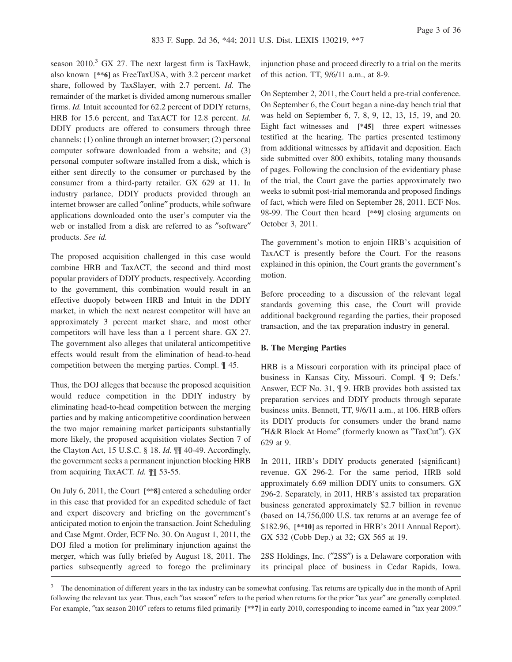season 2010.<sup>3</sup> GX 27. The next largest firm is TaxHawk, also known **[\*\*6]** as FreeTaxUSA, with 3.2 percent market share, followed by TaxSlayer, with 2.7 percent. *Id.* The remainder of the market is divided among numerous smaller firms. *Id.* Intuit accounted for 62.2 percent of DDIY returns, HRB for 15.6 percent, and TaxACT for 12.8 percent. *Id.* DDIY products are offered to consumers through three channels: (1) online through an internet browser; (2) personal computer software downloaded from a website; and (3) personal computer software installed from a disk, which is either sent directly to the consumer or purchased by the consumer from a third-party retailer. GX 629 at 11. In industry parlance, DDIY products provided through an internet browser are called ″online″ products, while software applications downloaded onto the user's computer via the web or installed from a disk are referred to as ″software″ products. *See id.*

The proposed acquisition challenged in this case would combine HRB and TaxACT, the second and third most popular providers of DDIY products, respectively. According to the government, this combination would result in an effective duopoly between HRB and Intuit in the DDIY market, in which the next nearest competitor will have an approximately 3 percent market share, and most other competitors will have less than a 1 percent share. GX 27. The government also alleges that unilateral anticompetitive effects would result from the elimination of head-to-head competition between the merging parties. Compl. ¶ 45.

Thus, the DOJ alleges that because the proposed acquisition would reduce competition in the DDIY industry by eliminating head-to-head competition between the merging parties and by making anticompetitive coordination between the two major remaining market participants substantially more likely, the proposed acquisition violates Section 7 of the Clayton Act, 15 U.S.C. § 18. *Id.* ¶¶ 40-49. Accordingly, the government seeks a permanent injunction blocking HRB from acquiring TaxACT. *Id.* ¶¶ 53-55.

On July 6, 2011, the Court **[\*\*8]** entered a scheduling order in this case that provided for an expedited schedule of fact and expert discovery and briefing on the government's anticipated motion to enjoin the transaction. Joint Scheduling and Case Mgmt. Order, ECF No. 30. On August 1, 2011, the DOJ filed a motion for preliminary injunction against the merger, which was fully briefed by August 18, 2011. The parties subsequently agreed to forego the preliminary

injunction phase and proceed directly to a trial on the merits of this action. TT, 9/6/11 a.m., at 8-9.

On September 2, 2011, the Court held a pre-trial conference. On September 6, the Court began a nine-day bench trial that was held on September 6, 7, 8, 9, 12, 13, 15, 19, and 20. Eight fact witnesses and **[\*45]** three expert witnesses testified at the hearing. The parties presented testimony from additional witnesses by affidavit and deposition. Each side submitted over 800 exhibits, totaling many thousands of pages. Following the conclusion of the evidentiary phase of the trial, the Court gave the parties approximately two weeks to submit post-trial memoranda and proposed findings of fact, which were filed on September 28, 2011. ECF Nos. 98-99. The Court then heard **[\*\*9]** closing arguments on October 3, 2011.

The government's motion to enjoin HRB's acquisition of TaxACT is presently before the Court. For the reasons explained in this opinion, the Court grants the government's motion.

Before proceeding to a discussion of the relevant legal standards governing this case, the Court will provide additional background regarding the parties, their proposed transaction, and the tax preparation industry in general.

### **B. The Merging Parties**

HRB is a Missouri corporation with its principal place of business in Kansas City, Missouri. Compl. ¶ 9; Defs.' Answer, ECF No. 31, ¶ 9. HRB provides both assisted tax preparation services and DDIY products through separate business units. Bennett, TT, 9/6/11 a.m., at 106. HRB offers its DDIY products for consumers under the brand name ″H&R Block At Home″ (formerly known as ″TaxCut″). GX 629 at 9.

In 2011, HRB's DDIY products generated {significant} revenue. GX 296-2. For the same period, HRB sold approximately 6.69 million DDIY units to consumers. GX 296-2. Separately, in 2011, HRB's assisted tax preparation business generated approximately \$2.7 billion in revenue (based on 14,756,000 U.S. tax returns at an average fee of \$182.96, **[\*\*10]** as reported in HRB's 2011 Annual Report). GX 532 (Cobb Dep.) at 32; GX 565 at 19.

2SS Holdings, Inc. (″2SS″) is a Delaware corporation with its principal place of business in Cedar Rapids, Iowa.

<sup>&</sup>lt;sup>3</sup> The denomination of different years in the tax industry can be somewhat confusing. Tax returns are typically due in the month of April following the relevant tax year. Thus, each ″tax season″ refers to the period when returns for the prior ″tax year″ are generally completed. For example, ″tax season 2010″ refers to returns filed primarily **[\*\*7]** in early 2010, corresponding to income earned in ″tax year 2009.″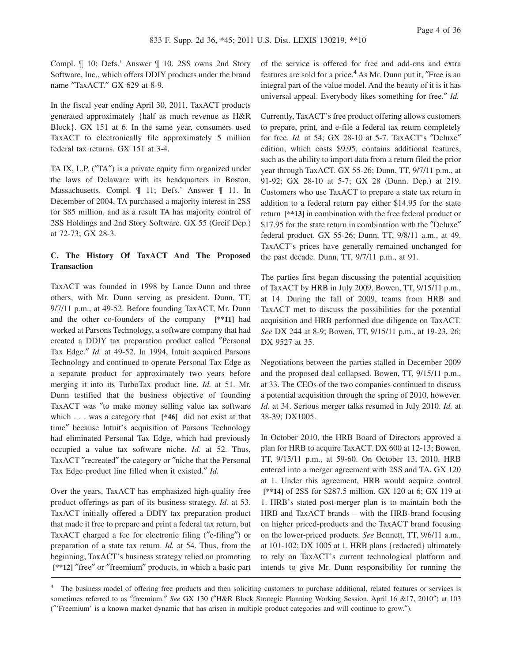Compl. ¶ 10; Defs.' Answer ¶ 10. 2SS owns 2nd Story Software, Inc., which offers DDIY products under the brand name "TaxACT." GX 629 at 8-9.

In the fiscal year ending April 30, 2011, TaxACT products generated approximately {half as much revenue as H&R Block}. GX 151 at 6. In the same year, consumers used TaxACT to electronically file approximately 5 million federal tax returns. GX 151 at 3-4.

TA IX, L.P. (″TA″) is a private equity firm organized under the laws of Delaware with its headquarters in Boston, Massachusetts. Compl. ¶ 11; Defs.' Answer ¶ 11. In December of 2004, TA purchased a majority interest in 2SS for \$85 million, and as a result TA has majority control of 2SS Holdings and 2nd Story Software. GX 55 (Greif Dep.) at 72-73; GX 28-3.

# **C. The History Of TaxACT And The Proposed Transaction**

TaxACT was founded in 1998 by Lance Dunn and three others, with Mr. Dunn serving as president. Dunn, TT, 9/7/11 p.m., at 49-52. Before founding TaxACT, Mr. Dunn and the other co-founders of the company **[\*\*11]** had worked at Parsons Technology, a software company that had created a DDIY tax preparation product called ″Personal Tax Edge.″ *Id.* at 49-52. In 1994, Intuit acquired Parsons Technology and continued to operate Personal Tax Edge as a separate product for approximately two years before merging it into its TurboTax product line. *Id.* at 51. Mr. Dunn testified that the business objective of founding TaxACT was ″to make money selling value tax software which . . . was a category that **[\*46]** did not exist at that time″ because Intuit's acquisition of Parsons Technology had eliminated Personal Tax Edge, which had previously occupied a value tax software niche. *Id.* at 52. Thus, TaxACT ″recreated″ the category or ″niche that the Personal Tax Edge product line filled when it existed.″ *Id.*

Over the years, TaxACT has emphasized high-quality free product offerings as part of its business strategy. *Id.* at 53. TaxACT initially offered a DDIY tax preparation product that made it free to prepare and print a federal tax return, but TaxACT charged a fee for electronic filing (″e-filing″) or preparation of a state tax return. *Id.* at 54. Thus, from the beginning, TaxACT's business strategy relied on promoting **[\*\*12]** ″free″ or ″freemium″ products, in which a basic part of the service is offered for free and add-ons and extra features are sold for a price.<sup>4</sup> As Mr. Dunn put it, "Free is an integral part of the value model. And the beauty of it is it has universal appeal. Everybody likes something for free.″ *Id.*

Currently, TaxACT's free product offering allows customers to prepare, print, and e-file a federal tax return completely for free. *Id.* at 54; GX 28-10 at 5-7. TaxACT's ″Deluxe″ edition, which costs \$9.95, contains additional features, such as the ability to import data from a return filed the prior year through TaxACT. GX 55-26; Dunn, TT, 9/7/11 p.m., at 91-92; GX 28-10 at 5-7; GX 28 (Dunn. Dep.) at 219. Customers who use TaxACT to prepare a state tax return in addition to a federal return pay either \$14.95 for the state return **[\*\*13]** in combination with the free federal product or \$17.95 for the state return in combination with the ″Deluxe″ federal product. GX 55-26; Dunn, TT, 9/8/11 a.m., at 49. TaxACT's prices have generally remained unchanged for the past decade. Dunn, TT, 9/7/11 p.m., at 91.

The parties first began discussing the potential acquisition of TaxACT by HRB in July 2009. Bowen, TT, 9/15/11 p.m., at 14. During the fall of 2009, teams from HRB and TaxACT met to discuss the possibilities for the potential acquisition and HRB performed due diligence on TaxACT. *See* DX 244 at 8-9; Bowen, TT, 9/15/11 p.m., at 19-23, 26; DX 9527 at 35.

Negotiations between the parties stalled in December 2009 and the proposed deal collapsed. Bowen, TT, 9/15/11 p.m., at 33. The CEOs of the two companies continued to discuss a potential acquisition through the spring of 2010, however. *Id.* at 34. Serious merger talks resumed in July 2010. *Id.* at 38-39; DX1005.

In October 2010, the HRB Board of Directors approved a plan for HRB to acquire TaxACT. DX 600 at 12-13; Bowen, TT, 9/15/11 p.m., at 59-60. On October 13, 2010, HRB entered into a merger agreement with 2SS and TA. GX 120 at 1. Under this agreement, HRB would acquire control **[\*\*14]** of 2SS for \$287.5 million. GX 120 at 6; GX 119 at 1. HRB's stated post-merger plan is to maintain both the HRB and TaxACT brands – with the HRB-brand focusing on higher priced-products and the TaxACT brand focusing on the lower-priced products. *See* Bennett, TT, 9/6/11 a.m., at 101-102; DX 1005 at 1. HRB plans {redacted} ultimately to rely on TaxACT's current technological platform and intends to give Mr. Dunn responsibility for running the

<sup>&</sup>lt;sup>4</sup> The business model of offering free products and then soliciting customers to purchase additional, related features or services is sometimes referred to as ″freemium.″ *See* GX 130 (″H&R Block Strategic Planning Working Session, April 16 &17, 2010″) at 103 (″'Freemium' is a known market dynamic that has arisen in multiple product categories and will continue to grow.″).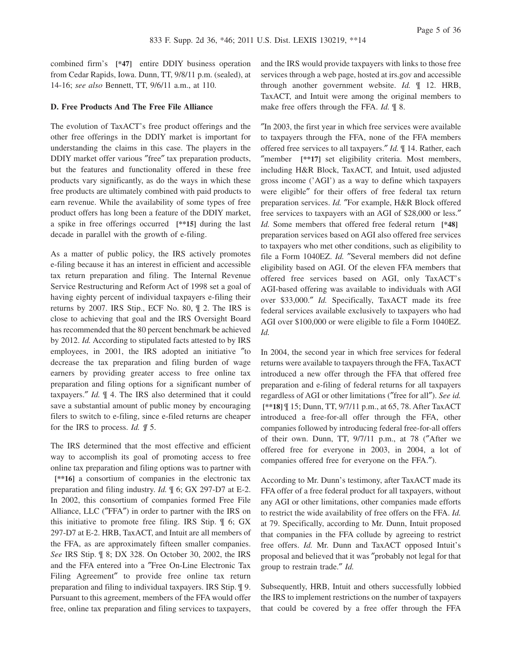combined firm's **[\*47]** entire DDIY business operation from Cedar Rapids, Iowa. Dunn, TT, 9/8/11 p.m. (sealed), at 14-16; *see also* Bennett, TT, 9/6/11 a.m., at 110.

#### **D. Free Products And The Free File Alliance**

The evolution of TaxACT's free product offerings and the other free offerings in the DDIY market is important for understanding the claims in this case. The players in the DDIY market offer various ″free″ tax preparation products, but the features and functionality offered in these free products vary significantly, as do the ways in which these free products are ultimately combined with paid products to earn revenue. While the availability of some types of free product offers has long been a feature of the DDIY market, a spike in free offerings occurred **[\*\*15]** during the last decade in parallel with the growth of e-filing.

As a matter of public policy, the IRS actively promotes e-filing because it has an interest in efficient and accessible tax return preparation and filing. The Internal Revenue Service Restructuring and Reform Act of 1998 set a goal of having eighty percent of individual taxpayers e-filing their returns by 2007. IRS Stip., ECF No. 80, ¶ 2. The IRS is close to achieving that goal and the IRS Oversight Board has recommended that the 80 percent benchmark be achieved by 2012. *Id.* According to stipulated facts attested to by IRS employees, in 2001, the IRS adopted an initiative ″to decrease the tax preparation and filing burden of wage earners by providing greater access to free online tax preparation and filing options for a significant number of taxpayers.″ *Id.* ¶ 4. The IRS also determined that it could save a substantial amount of public money by encouraging filers to switch to e-filing, since e-filed returns are cheaper for the IRS to process. *Id. ¶* 5.

The IRS determined that the most effective and efficient way to accomplish its goal of promoting access to free online tax preparation and filing options was to partner with **[\*\*16]** a consortium of companies in the electronic tax preparation and filing industry. *Id.* ¶ 6; GX 297-D7 at E-2. In 2002, this consortium of companies formed Free File Alliance, LLC (″FFA″) in order to partner with the IRS on this initiative to promote free filing. IRS Stip. ¶ 6; GX 297-D7 at E-2. HRB, TaxACT, and Intuit are all members of the FFA, as are approximately fifteen smaller companies. *See* IRS Stip. ¶ 8; DX 328. On October 30, 2002, the IRS and the FFA entered into a ″Free On-Line Electronic Tax Filing Agreement″ to provide free online tax return preparation and filing to individual taxpayers. IRS Stip. ¶ 9. Pursuant to this agreement, members of the FFA would offer free, online tax preparation and filing services to taxpayers,

and the IRS would provide taxpayers with links to those free services through a web page, hosted at irs.gov and accessible through another government website. *Id.* ¶ 12. HRB, TaxACT, and Intuit were among the original members to make free offers through the FFA. *Id.* ¶ 8.

″In 2003, the first year in which free services were available to taxpayers through the FFA, none of the FFA members offered free services to all taxpayers.″ *Id.* ¶ 14. Rather, each ″member **[\*\*17]** set eligibility criteria. Most members, including H&R Block, TaxACT, and Intuit, used adjusted gross income ('AGI') as a way to define which taxpayers were eligible″ for their offers of free federal tax return preparation services. *Id.* ″For example, H&R Block offered free services to taxpayers with an AGI of \$28,000 or less.″ *Id.* Some members that offered free federal return **[\*48]** preparation services based on AGI also offered free services to taxpayers who met other conditions, such as eligibility to file a Form 1040EZ. *Id.* ″Several members did not define eligibility based on AGI. Of the eleven FFA members that offered free services based on AGI, only TaxACT's AGI-based offering was available to individuals with AGI over \$33,000.″ *Id.* Specifically, TaxACT made its free federal services available exclusively to taxpayers who had AGI over \$100,000 or were eligible to file a Form 1040EZ. *Id.*

In 2004, the second year in which free services for federal returns were available to taxpayers through the FFA, TaxACT introduced a new offer through the FFA that offered free preparation and e-filing of federal returns for all taxpayers regardless of AGI or other limitations (″free for all″). *See id.* **[\*\*18]** ¶ 15; Dunn, TT, 9/7/11 p.m., at 65, 78. After TaxACT introduced a free-for-all offer through the FFA, other companies followed by introducing federal free-for-all offers of their own. Dunn, TT, 9/7/11 p.m., at 78 (″After we offered free for everyone in 2003, in 2004, a lot of companies offered free for everyone on the FFA.″).

According to Mr. Dunn's testimony, after TaxACT made its FFA offer of a free federal product for all taxpayers, without any AGI or other limitations, other companies made efforts to restrict the wide availability of free offers on the FFA. *Id.* at 79. Specifically, according to Mr. Dunn, Intuit proposed that companies in the FFA collude by agreeing to restrict free offers. *Id.* Mr. Dunn and TaxACT opposed Intuit's proposal and believed that it was ″probably not legal for that group to restrain trade.″ *Id.*

Subsequently, HRB, Intuit and others successfully lobbied the IRS to implement restrictions on the number of taxpayers that could be covered by a free offer through the FFA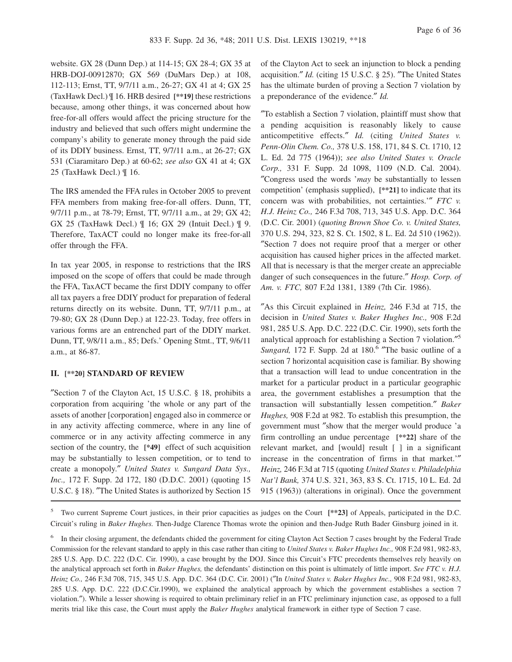website. GX 28 (Dunn Dep.) at 114-15; GX 28-4; GX 35 at HRB-DOJ-00912870; GX 569 (DuMars Dep.) at 108, 112-113; Ernst, TT, 9/7/11 a.m., 26-27; GX 41 at 4; GX 25 (TaxHawk Decl.) ¶ 16. HRB desired **[\*\*19]** these restrictions because, among other things, it was concerned about how free-for-all offers would affect the pricing structure for the industry and believed that such offers might undermine the company's ability to generate money through the paid side of its DDIY business. Ernst, TT, 9/7/11 a.m., at 26-27; GX 531 (Ciaramitaro Dep.) at 60-62; *see also* GX 41 at 4; GX 25 (TaxHawk Decl.) ¶ 16.

The IRS amended the FFA rules in October 2005 to prevent FFA members from making free-for-all offers. Dunn, TT, 9/7/11 p.m., at 78-79; Ernst, TT, 9/7/11 a.m., at 29; GX 42; GX 25 (TaxHawk Decl.) ¶ 16; GX 29 (Intuit Decl.) ¶ 9. Therefore, TaxACT could no longer make its free-for-all offer through the FFA.

In tax year 2005, in response to restrictions that the IRS imposed on the scope of offers that could be made through the FFA, TaxACT became the first DDIY company to offer all tax payers a free DDIY product for preparation of federal returns directly on its website. Dunn, TT, 9/7/11 p.m., at 79-80; GX 28 (Dunn Dep.) at 122-23. Today, free offers in various forms are an entrenched part of the DDIY market. Dunn, TT, 9/8/11 a.m., 85; Defs.' Opening Stmt., TT, 9/6/11 a.m., at 86-87.

#### **II. [\*\*20] STANDARD OF REVIEW**

″Section 7 of the Clayton Act, 15 U.S.C. § 18, prohibits a corporation from acquiring 'the whole or any part of the assets of another [corporation] engaged also in commerce or in any activity affecting commerce, where in any line of commerce or in any activity affecting commerce in any section of the country, the **[\*49]** effect of such acquisition may be substantially to lessen competition, or to tend to create a monopoly.″ *United States v. Sungard Data Sys., Inc.,* 172 F. Supp. 2d 172, 180 (D.D.C. 2001) (quoting 15 U.S.C. § 18). "The United States is authorized by Section 15

of the Clayton Act to seek an injunction to block a pending acquisition.″ *Id.* (citing 15 U.S.C. § 25). ″The United States has the ultimate burden of proving a Section 7 violation by a preponderance of the evidence.″ *Id.*

″To establish a Section 7 violation, plaintiff must show that a pending acquisition is reasonably likely to cause anticompetitive effects.″ *Id.* (citing *United States v. Penn-Olin Chem. Co.,* 378 U.S. 158, 171, 84 S. Ct. 1710, 12 L. Ed. 2d 775 (1964)); *see also United States v. Oracle Corp.,* 331 F. Supp. 2d 1098, 1109 (N.D. Cal. 2004). ″Congress used the words '*may* be substantially to lessen competition' (emphasis supplied), **[\*\*21]** to indicate that its concern was with probabilities, not certainties.'″ *FTC v. H.J. Heinz Co.,* 246 F.3d 708, 713, 345 U.S. App. D.C. 364 (D.C. Cir. 2001) (*quoting Brown Shoe Co. v. United States,* 370 U.S. 294, 323, 82 S. Ct. 1502, 8 L. Ed. 2d 510 (1962)). ″Section 7 does not require proof that a merger or other acquisition has caused higher prices in the affected market. All that is necessary is that the merger create an appreciable danger of such consequences in the future.″ *Hosp. Corp. of Am. v. FTC,* 807 F.2d 1381, 1389 (7th Cir. 1986).

″As this Circuit explained in *Heinz,* 246 F.3d at 715, the decision in *United States v. Baker Hughes Inc.,* 908 F.2d 981, 285 U.S. App. D.C. 222 (D.C. Cir. 1990), sets forth the analytical approach for establishing a Section 7 violation.″ 5 Sungard, 172 F. Supp. 2d at 180.<sup>6</sup> "The basic outline of a section 7 horizontal acquisition case is familiar. By showing that a transaction will lead to undue concentration in the market for a particular product in a particular geographic area, the government establishes a presumption that the transaction will substantially lessen competition.″ *Baker Hughes,* 908 F.2d at 982. To establish this presumption, the government must ″show that the merger would produce 'a firm controlling an undue percentage **[\*\*22]** share of the relevant market, and [would] result [ ] in a significant increase in the concentration of firms in that market.'″ *Heinz,* 246 F.3d at 715 (quoting *United States v. Philadelphia Nat'l Bank,* 374 U.S. 321, 363, 83 S. Ct. 1715, 10 L. Ed. 2d 915 (1963)) (alterations in original). Once the government

5 Two current Supreme Court justices, in their prior capacities as judges on the Court **[\*\*23]** of Appeals, participated in the D.C. Circuit's ruling in *Baker Hughes.* Then-Judge Clarence Thomas wrote the opinion and then-Judge Ruth Bader Ginsburg joined in it.

6 In their closing argument, the defendants chided the government for citing Clayton Act Section 7 cases brought by the Federal Trade Commission for the relevant standard to apply in this case rather than citing to *United States v. Baker Hughes Inc.,* 908 F.2d 981, 982-83, 285 U.S. App. D.C. 222 (D.C. Cir. 1990), a case brought by the DOJ. Since this Circuit's FTC precedents themselves rely heavily on the analytical approach set forth in *Baker Hughes,* the defendants' distinction on this point is ultimately of little import. *See FTC v. H.J. Heinz Co.,* 246 F.3d 708, 715, 345 U.S. App. D.C. 364 (D.C. Cir. 2001) (″In *United States v. Baker Hughes Inc.,* 908 F.2d 981, 982-83, 285 U.S. App. D.C. 222 (D.C.Cir.1990), we explained the analytical approach by which the government establishes a section 7 violation.″). While a lesser showing is required to obtain preliminary relief in an FTC preliminary injunction case, as opposed to a full merits trial like this case, the Court must apply the *Baker Hughes* analytical framework in either type of Section 7 case.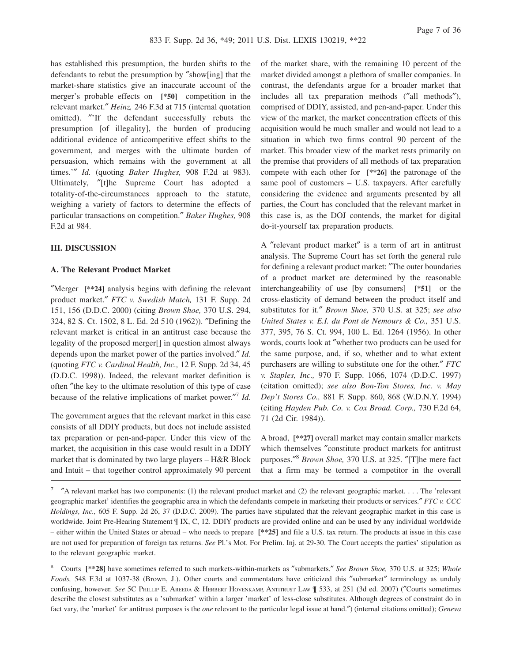has established this presumption, the burden shifts to the defendants to rebut the presumption by ″show[ing] that the market-share statistics give an inaccurate account of the merger's probable effects on **[\*50]** competition in the relevant market.″ *Heinz,* 246 F.3d at 715 (internal quotation omitted). ″'If the defendant successfully rebuts the presumption [of illegality], the burden of producing additional evidence of anticompetitive effect shifts to the government, and merges with the ultimate burden of persuasion, which remains with the government at all times.'″ *Id.* (quoting *Baker Hughes,* 908 F.2d at 983). Ultimately, ″[t]he Supreme Court has adopted a totality-of-the-circumstances approach to the statute, weighing a variety of factors to determine the effects of particular transactions on competition.″ *Baker Hughes,* 908 F.2d at 984.

#### **III. DISCUSSION**

#### **A. The Relevant Product Market**

″Merger **[\*\*24]** analysis begins with defining the relevant product market.″ *FTC v. Swedish Match,* 131 F. Supp. 2d 151, 156 (D.D.C. 2000) (citing *Brown Shoe,* 370 U.S. 294, 324, 82 S. Ct. 1502, 8 L. Ed. 2d 510 (1962)). ″Defining the relevant market is critical in an antitrust case because the legality of the proposed merger[] in question almost always depends upon the market power of the parties involved.″ *Id.* (quoting *FTC v. Cardinal Health, Inc.,* 12 F. Supp. 2d 34, 45 (D.D.C. 1998)). Indeed, the relevant market definition is often ″the key to the ultimate resolution of this type of case because of the relative implications of market power.″ 7 *Id.*

The government argues that the relevant market in this case consists of all DDIY products, but does not include assisted tax preparation or pen-and-paper. Under this view of the market, the acquisition in this case would result in a DDIY market that is dominated by two large players – H&R Block and Intuit – that together control approximately 90 percent of the market share, with the remaining 10 percent of the market divided amongst a plethora of smaller companies. In contrast, the defendants argue for a broader market that includes all tax preparation methods (″all methods″), comprised of DDIY, assisted, and pen-and-paper. Under this view of the market, the market concentration effects of this acquisition would be much smaller and would not lead to a situation in which two firms control 90 percent of the market. This broader view of the market rests primarily on the premise that providers of all methods of tax preparation compete with each other for **[\*\*26]** the patronage of the same pool of customers – U.S. taxpayers. After carefully considering the evidence and arguments presented by all parties, the Court has concluded that the relevant market in this case is, as the DOJ contends, the market for digital do-it-yourself tax preparation products.

A ″relevant product market″ is a term of art in antitrust analysis. The Supreme Court has set forth the general rule for defining a relevant product market: ″The outer boundaries of a product market are determined by the reasonable interchangeability of use [by consumers] **[\*51]** or the cross-elasticity of demand between the product itself and substitutes for it.″ *Brown Shoe,* 370 U.S. at 325; *see also United States v. E.I. du Pont de Nemours & Co.,* 351 U.S. 377, 395, 76 S. Ct. 994, 100 L. Ed. 1264 (1956). In other words, courts look at ″whether two products can be used for the same purpose, and, if so, whether and to what extent purchasers are willing to substitute one for the other.″ *FTC v. Staples, Inc.,* 970 F. Supp. 1066, 1074 (D.D.C. 1997) (citation omitted); *see also Bon-Ton Stores, Inc. v. May Dep't Stores Co.,* 881 F. Supp. 860, 868 (W.D.N.Y. 1994) (citing *Hayden Pub. Co. v. Cox Broad. Corp.,* 730 F.2d 64, 71 (2d Cir. 1984)).

A broad, **[\*\*27]** overall market may contain smaller markets which themselves ″constitute product markets for antitrust purposes.″ <sup>8</sup> *Brown Shoe,* 370 U.S. at 325. ″[T]he mere fact that a firm may be termed a competitor in the overall

<sup>8</sup> Courts **[\*\*28]** have sometimes referred to such markets-within-markets as ″submarkets.″ *See Brown Shoe,* 370 U.S. at 325; *Whole Foods,* 548 F.3d at 1037-38 (Brown, J.). Other courts and commentators have criticized this ″submarket″ terminology as unduly confusing, however. *See* 5C PHILLIP E. AREEDA & HERBERT HOVENKAMP, ANTITRUST LAW ¶ 533, at 251 (3d ed. 2007) (″Courts sometimes describe the closest substitutes as a 'submarket' within a larger 'market' of less-close substitutes. Although degrees of constraint do in fact vary, the 'market' for antitrust purposes is the *one* relevant to the particular legal issue at hand.″) (internal citations omitted); *Geneva*

 $\frac{7}{2}$  "A relevant market has two components: (1) the relevant product market and (2) the relevant geographic market. . . . The 'relevant geographic market' identifies the geographic area in which the defendants compete in marketing their products or services.″ *FTC v. CCC Holdings, Inc.,* 605 F. Supp. 2d 26, 37 (D.D.C. 2009). The parties have stipulated that the relevant geographic market in this case is worldwide. Joint Pre-Hearing Statement ¶ IX, C, 12. DDIY products are provided online and can be used by any individual worldwide – either within the United States or abroad – who needs to prepare **[\*\*25]** and file a U.S. tax return. The products at issue in this case are not used for preparation of foreign tax returns. *See* Pl.'s Mot. For Prelim. Inj. at 29-30. The Court accepts the parties' stipulation as to the relevant geographic market.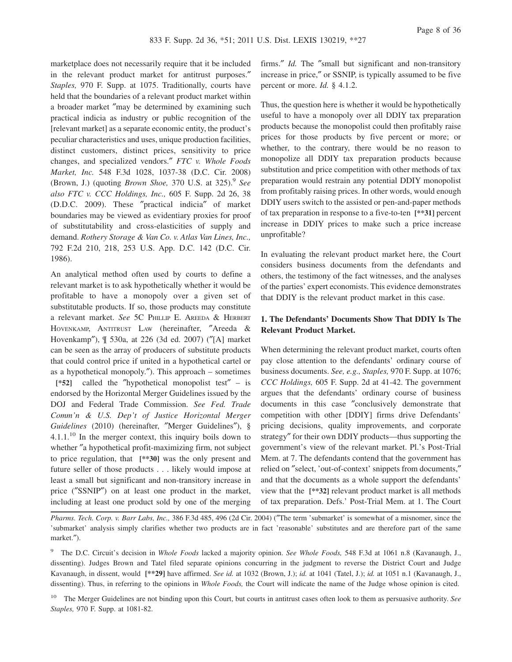marketplace does not necessarily require that it be included in the relevant product market for antitrust purposes.″ *Staples,* 970 F. Supp. at 1075. Traditionally, courts have held that the boundaries of a relevant product market within a broader market ″may be determined by examining such practical indicia as industry or public recognition of the [relevant market] as a separate economic entity, the product's peculiar characteristics and uses, unique production facilities, distinct customers, distinct prices, sensitivity to price changes, and specialized vendors.″ *FTC v. Whole Foods Market, Inc.* 548 F.3d 1028, 1037-38 (D.C. Cir. 2008) (Brown, J.) (quoting *Brown Shoe*, 370 U.S. at 325).<sup>9</sup> See *also FTC v. CCC Holdings, Inc.,* 605 F. Supp. 2d 26, 38 (D.D.C. 2009). These ″practical indicia″ of market boundaries may be viewed as evidentiary proxies for proof of substitutability and cross-elasticities of supply and demand. *Rothery Storage & Van Co. v. Atlas Van Lines, Inc.,* 792 F.2d 210, 218, 253 U.S. App. D.C. 142 (D.C. Cir. 1986).

An analytical method often used by courts to define a relevant market is to ask hypothetically whether it would be profitable to have a monopoly over a given set of substitutable products. If so, those products may constitute a relevant market. *See* 5C PHILLIP E. AREEDA & HERBERT HOVENKAMP, ANTITRUST LAW (hereinafter, ″Areeda & Hovenkamp″), ¶ 530a, at 226 (3d ed. 2007) (″[A] market can be seen as the array of producers of substitute products that could control price if united in a hypothetical cartel or as a hypothetical monopoly.″). This approach – sometimes **[\*52]** called the ″hypothetical monopolist test″ – is endorsed by the Horizontal Merger Guidelines issued by the DOJ and Federal Trade Commission. *See Fed. Trade Comm'n & U.S. Dep't of Justice Horizontal Merger Guidelines* (2010) (hereinafter, ″Merger Guidelines″), § 4.1.1.<sup>10</sup> In the merger context, this inquiry boils down to whether ″a hypothetical profit-maximizing firm, not subject to price regulation, that **[\*\*30]** was the only present and future seller of those products . . . likely would impose at least a small but significant and non-transitory increase in price (″SSNIP″) on at least one product in the market, including at least one product sold by one of the merging

firms.″ *Id.* The ″small but significant and non-transitory increase in price,″ or SSNIP, is typically assumed to be five percent or more. *Id.* § 4.1.2.

Thus, the question here is whether it would be hypothetically useful to have a monopoly over all DDIY tax preparation products because the monopolist could then profitably raise prices for those products by five percent or more; or whether, to the contrary, there would be no reason to monopolize all DDIY tax preparation products because substitution and price competition with other methods of tax preparation would restrain any potential DDIY monopolist from profitably raising prices. In other words, would enough DDIY users switch to the assisted or pen-and-paper methods of tax preparation in response to a five-to-ten **[\*\*31]** percent increase in DDIY prices to make such a price increase unprofitable?

In evaluating the relevant product market here, the Court considers business documents from the defendants and others, the testimony of the fact witnesses, and the analyses of the parties' expert economists. This evidence demonstrates that DDIY is the relevant product market in this case.

# **1. The Defendants' Documents Show That DDIY Is The Relevant Product Market.**

When determining the relevant product market, courts often pay close attention to the defendants' ordinary course of business documents. *See, e.g., Staples,* 970 F. Supp. at 1076; *CCC Holdings,* 605 F. Supp. 2d at 41-42. The government argues that the defendants' ordinary course of business documents in this case ″conclusively demonstrate that competition with other [DDIY] firms drive Defendants' pricing decisions, quality improvements, and corporate strategy″ for their own DDIY products—thus supporting the government's view of the relevant market. Pl.'s Post-Trial Mem. at 7. The defendants contend that the government has relied on ″select, 'out-of-context' snippets from documents,″ and that the documents as a whole support the defendants' view that the **[\*\*32]** relevant product market is all methods of tax preparation. Defs.' Post-Trial Mem. at 1. The Court

*Pharms. Tech. Corp. v. Barr Labs, Inc.,* 386 F.3d 485, 496 (2d Cir. 2004) (″The term 'submarket' is somewhat of a misnomer, since the 'submarket' analysis simply clarifies whether two products are in fact 'reasonable' substitutes and are therefore part of the same market.″).

9 The D.C. Circuit's decision in *Whole Foods* lacked a majority opinion. *See Whole Foods,* 548 F.3d at 1061 n.8 (Kavanaugh, J., dissenting). Judges Brown and Tatel filed separate opinions concurring in the judgment to reverse the District Court and Judge Kavanaugh, in dissent, would **[\*\*29]** have affirmed. *See id.* at 1032 (Brown, J.); *id.* at 1041 (Tatel, J.); *id.* at 1051 n.1 (Kavanaugh, J., dissenting). Thus, in referring to the opinions in *Whole Foods,* the Court will indicate the name of the Judge whose opinion is cited.

<sup>10</sup> The Merger Guidelines are not binding upon this Court, but courts in antitrust cases often look to them as persuasive authority. *See Staples,* 970 F. Supp. at 1081-82.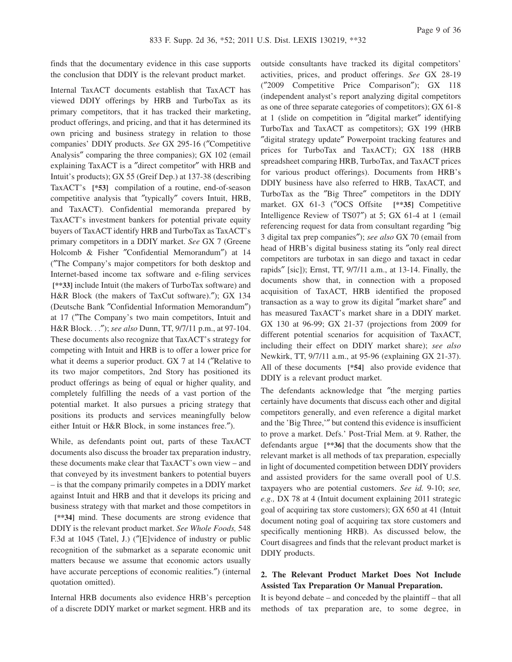finds that the documentary evidence in this case supports the conclusion that DDIY is the relevant product market.

Internal TaxACT documents establish that TaxACT has viewed DDIY offerings by HRB and TurboTax as its primary competitors, that it has tracked their marketing, product offerings, and pricing, and that it has determined its own pricing and business strategy in relation to those companies' DDIY products. *See* GX 295-16 (″Competitive Analysis″ comparing the three companies); GX 102 (email explaining TaxACT is a ″direct competitor″ with HRB and Intuit's products); GX 55 (Greif Dep.) at 137-38 (describing TaxACT's **[\*53]** compilation of a routine, end-of-season competitive analysis that ″typically″ covers Intuit, HRB, and TaxACT). Confidential memoranda prepared by TaxACT's investment bankers for potential private equity buyers of TaxACT identify HRB and TurboTax as TaxACT's primary competitors in a DDIY market. *See* GX 7 (Greene Holcomb & Fisher ″Confidential Memorandum″) at 14 (″The Company's major competitors for both desktop and Internet-based income tax software and e-filing services **[\*\*33]** include Intuit (the makers of TurboTax software) and H&R Block (the makers of TaxCut software).″); GX 134 (Deutsche Bank ″Confidential Information Memorandum″) at 17 (″The Company's two main competitors, Intuit and H&R Block. . .″); *see also* Dunn, TT, 9/7/11 p.m., at 97-104. These documents also recognize that TaxACT's strategy for competing with Intuit and HRB is to offer a lower price for what it deems a superior product. GX 7 at 14 ("Relative to its two major competitors, 2nd Story has positioned its product offerings as being of equal or higher quality, and completely fulfilling the needs of a vast portion of the potential market. It also pursues a pricing strategy that positions its products and services meaningfully below either Intuit or H&R Block, in some instances free.″).

While, as defendants point out, parts of these TaxACT documents also discuss the broader tax preparation industry, these documents make clear that TaxACT's own view – and that conveyed by its investment bankers to potential buyers – is that the company primarily competes in a DDIY market against Intuit and HRB and that it develops its pricing and business strategy with that market and those competitors in **[\*\*34]** mind. These documents are strong evidence that DDIY is the relevant product market. *See Whole Foods,* 548 F.3d at 1045 (Tatel, J.) (″[E]vidence of industry or public recognition of the submarket as a separate economic unit matters because we assume that economic actors usually have accurate perceptions of economic realities.″) (internal quotation omitted).

Internal HRB documents also evidence HRB's perception of a discrete DDIY market or market segment. HRB and its

outside consultants have tracked its digital competitors' activities, prices, and product offerings. *See* GX 28-19 (″2009 Competitive Price Comparison″); GX 118 (independent analyst's report analyzing digital competitors as one of three separate categories of competitors); GX 61-8 at 1 (slide on competition in ″digital market″ identifying TurboTax and TaxACT as competitors); GX 199 (HRB ″digital strategy update″ Powerpoint tracking features and prices for TurboTax and TaxACT); GX 188 (HRB spreadsheet comparing HRB, TurboTax, and TaxACT prices for various product offerings). Documents from HRB's DDIY business have also referred to HRB, TaxACT, and TurboTax as the ″Big Three″ competitors in the DDIY market. GX 61-3 (″OCS Offsite **[\*\*35]** Competitive Intelligence Review of TS07″) at 5; GX 61-4 at 1 (email referencing request for data from consultant regarding ″big 3 digital tax prep companies″); *see also* GX 70 (email from head of HRB's digital business stating its ″only real direct competitors are turbotax in san diego and taxact in cedar rapids″ [sic]); Ernst, TT, 9/7/11 a.m., at 13-14. Finally, the documents show that, in connection with a proposed acquisition of TaxACT, HRB identified the proposed transaction as a way to grow its digital ″market share″ and has measured TaxACT's market share in a DDIY market. GX 130 at 96-99; GX 21-37 (projections from 2009 for different potential scenarios for acquisition of TaxACT, including their effect on DDIY market share); *see also* Newkirk, TT, 9/7/11 a.m., at 95-96 (explaining GX 21-37). All of these documents **[\*54]** also provide evidence that DDIY is a relevant product market.

The defendants acknowledge that "the merging parties" certainly have documents that discuss each other and digital competitors generally, and even reference a digital market and the 'Big Three,'″ but contend this evidence is insufficient to prove a market. Defs.' Post-Trial Mem. at 9. Rather, the defendants argue **[\*\*36]** that the documents show that the relevant market is all methods of tax preparation, especially in light of documented competition between DDIY providers and assisted providers for the same overall pool of U.S. taxpayers who are potential customers. *See id.* 9-10; *see, e.g.,* DX 78 at 4 (Intuit document explaining 2011 strategic goal of acquiring tax store customers); GX 650 at 41 (Intuit document noting goal of acquiring tax store customers and specifically mentioning HRB). As discussed below, the Court disagrees and finds that the relevant product market is DDIY products.

# **2. The Relevant Product Market Does Not Include Assisted Tax Preparation Or Manual Preparation.**

It is beyond debate – and conceded by the plaintiff – that all methods of tax preparation are, to some degree, in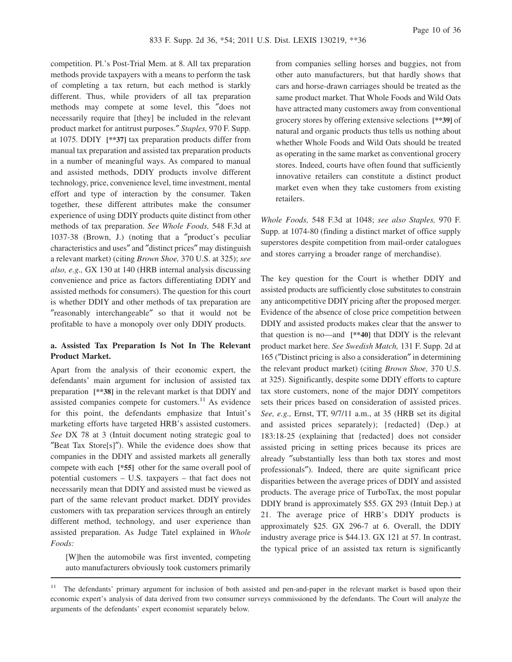competition. Pl.'s Post-Trial Mem. at 8. All tax preparation methods provide taxpayers with a means to perform the task of completing a tax return, but each method is starkly different. Thus, while providers of all tax preparation methods may compete at some level, this ″does not necessarily require that [they] be included in the relevant product market for antitrust purposes.″ *Staples,* 970 F. Supp. at 1075. DDIY **[\*\*37]** tax preparation products differ from manual tax preparation and assisted tax preparation products in a number of meaningful ways. As compared to manual and assisted methods, DDIY products involve different technology, price, convenience level, time investment, mental effort and type of interaction by the consumer. Taken together, these different attributes make the consumer experience of using DDIY products quite distinct from other methods of tax preparation. *See Whole Foods,* 548 F.3d at 1037-38 (Brown, J.) (noting that a ″product's peculiar characteristics and uses″ and ″distinct prices″ may distinguish a relevant market) (citing *Brown Shoe,* 370 U.S. at 325); *see also, e.g.,* GX 130 at 140 (HRB internal analysis discussing convenience and price as factors differentiating DDIY and assisted methods for consumers). The question for this court is whether DDIY and other methods of tax preparation are ″reasonably interchangeable″ so that it would not be profitable to have a monopoly over only DDIY products.

# **a. Assisted Tax Preparation Is Not In The Relevant Product Market.**

Apart from the analysis of their economic expert, the defendants' main argument for inclusion of assisted tax preparation **[\*\*38]** in the relevant market is that DDIY and assisted companies compete for customers.<sup>11</sup> As evidence for this point, the defendants emphasize that Intuit's marketing efforts have targeted HRB's assisted customers. *See* DX 78 at 3 (Intuit document noting strategic goal to ″Beat Tax Store[s]″). While the evidence does show that companies in the DDIY and assisted markets all generally compete with each **[\*55]** other for the same overall pool of potential customers – U.S. taxpayers – that fact does not necessarily mean that DDIY and assisted must be viewed as part of the same relevant product market. DDIY provides customers with tax preparation services through an entirely different method, technology, and user experience than assisted preparation. As Judge Tatel explained in *Whole Foods:*

[W]hen the automobile was first invented, competing auto manufacturers obviously took customers primarily

from companies selling horses and buggies, not from other auto manufacturers, but that hardly shows that cars and horse-drawn carriages should be treated as the same product market. That Whole Foods and Wild Oats have attracted many customers away from conventional grocery stores by offering extensive selections **[\*\*39]** of natural and organic products thus tells us nothing about whether Whole Foods and Wild Oats should be treated as operating in the same market as conventional grocery stores. Indeed, courts have often found that sufficiently innovative retailers can constitute a distinct product market even when they take customers from existing retailers.

*Whole Foods,* 548 F.3d at 1048; *see also Staples,* 970 F. Supp. at 1074-80 (finding a distinct market of office supply superstores despite competition from mail-order catalogues and stores carrying a broader range of merchandise).

The key question for the Court is whether DDIY and assisted products are sufficiently close substitutes to constrain any anticompetitive DDIY pricing after the proposed merger. Evidence of the absence of close price competition between DDIY and assisted products makes clear that the answer to that question is no—and **[\*\*40]** that DDIY is the relevant product market here. *See Swedish Match,* 131 F. Supp. 2d at 165 (″Distinct pricing is also a consideration″ in determining the relevant product market) (citing *Brown Shoe,* 370 U.S. at 325). Significantly, despite some DDIY efforts to capture tax store customers, none of the major DDIY competitors sets their prices based on consideration of assisted prices. *See, e.g.,* Ernst, TT, 9/7/11 a.m., at 35 (HRB set its digital and assisted prices separately); {redacted} (Dep.) at 183:18-25 (explaining that {redacted} does not consider assisted pricing in setting prices because its prices are already ″substantially less than both tax stores and most professionals″). Indeed, there are quite significant price disparities between the average prices of DDIY and assisted products. The average price of TurboTax, the most popular DDIY brand is approximately \$55. GX 293 (Intuit Dep.) at 21. The average price of HRB's DDIY products is approximately \$25. GX 296-7 at 6. Overall, the DDIY industry average price is \$44.13. GX 121 at 57. In contrast, the typical price of an assisted tax return is significantly

<sup>&</sup>lt;sup>11</sup> The defendants' primary argument for inclusion of both assisted and pen-and-paper in the relevant market is based upon their economic expert's analysis of data derived from two consumer surveys commissioned by the defendants. The Court will analyze the arguments of the defendants' expert economist separately below.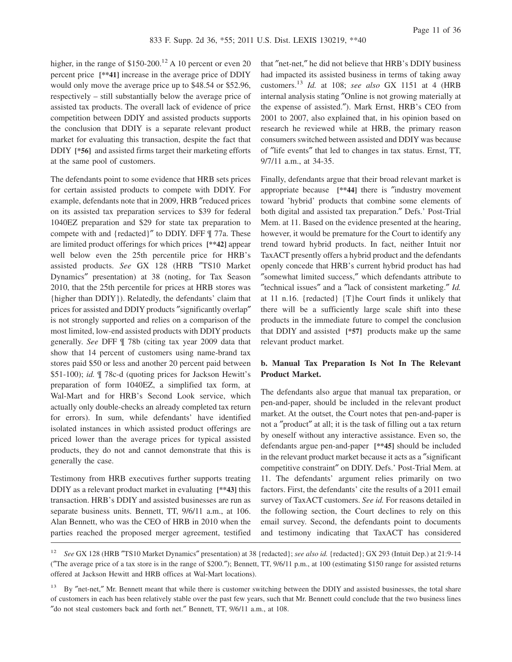higher, in the range of  $$150-200$ .<sup>12</sup> A 10 percent or even 20 percent price **[\*\*41]** increase in the average price of DDIY would only move the average price up to \$48.54 or \$52.96, respectively – still substantially below the average price of assisted tax products. The overall lack of evidence of price competition between DDIY and assisted products supports the conclusion that DDIY is a separate relevant product market for evaluating this transaction, despite the fact that DDIY **[\*56]** and assisted firms target their marketing efforts at the same pool of customers.

The defendants point to some evidence that HRB sets prices for certain assisted products to compete with DDIY. For example, defendants note that in 2009, HRB ″reduced prices on its assisted tax preparation services to \$39 for federal 1040EZ preparation and \$29 for state tax preparation to compete with and {redacted}″ to DDIY. DFF ¶ 77a. These are limited product offerings for which prices **[\*\*42]** appear well below even the 25th percentile price for HRB's assisted products. *See* GX 128 (HRB ″TS10 Market Dynamics″ presentation) at 38 (noting, for Tax Season 2010, that the 25th percentile for prices at HRB stores was {higher than DDIY}). Relatedly, the defendants' claim that prices for assisted and DDIY products ″significantly overlap″ is not strongly supported and relies on a comparison of the most limited, low-end assisted products with DDIY products generally. *See* DFF ¶ 78b (citing tax year 2009 data that show that 14 percent of customers using name-brand tax stores paid \$50 or less and another 20 percent paid between \$51-100); *id.* ¶ 78c-d (quoting prices for Jackson Hewitt's preparation of form 1040EZ, a simplified tax form, at Wal-Mart and for HRB's Second Look service, which actually only double-checks an already completed tax return for errors). In sum, while defendants' have identified isolated instances in which assisted product offerings are priced lower than the average prices for typical assisted products, they do not and cannot demonstrate that this is generally the case.

Testimony from HRB executives further supports treating DDIY as a relevant product market in evaluating **[\*\*43]** this transaction. HRB's DDIY and assisted businesses are run as separate business units. Bennett, TT, 9/6/11 a.m., at 106. Alan Bennett, who was the CEO of HRB in 2010 when the parties reached the proposed merger agreement, testified

that ″net-net,″ he did not believe that HRB's DDIY business had impacted its assisted business in terms of taking away customers.<sup>13</sup> *Id.* at 108; *see also* GX 1151 at 4 (HRB internal analysis stating ″Online is not growing materially at the expense of assisted.″). Mark Ernst, HRB's CEO from 2001 to 2007, also explained that, in his opinion based on research he reviewed while at HRB, the primary reason consumers switched between assisted and DDIY was because of ″life events″ that led to changes in tax status. Ernst, TT, 9/7/11 a.m., at 34-35.

Finally, defendants argue that their broad relevant market is appropriate because **[\*\*44]** there is ″industry movement toward 'hybrid' products that combine some elements of both digital and assisted tax preparation.″ Defs.' Post-Trial Mem. at 11. Based on the evidence presented at the hearing, however, it would be premature for the Court to identify any trend toward hybrid products. In fact, neither Intuit nor TaxACT presently offers a hybrid product and the defendants openly concede that HRB's current hybrid product has had ″somewhat limited success,″ which defendants attribute to ″technical issues″ and a ″lack of consistent marketing.″ *Id.* at 11 n.16. {redacted} {T}he Court finds it unlikely that there will be a sufficiently large scale shift into these products in the immediate future to compel the conclusion that DDIY and assisted **[\*57]** products make up the same relevant product market.

# **b. Manual Tax Preparation Is Not In The Relevant Product Market.**

The defendants also argue that manual tax preparation, or pen-and-paper, should be included in the relevant product market. At the outset, the Court notes that pen-and-paper is not a ″product″ at all; it is the task of filling out a tax return by oneself without any interactive assistance. Even so, the defendants argue pen-and-paper **[\*\*45]** should be included in the relevant product market because it acts as a ″significant competitive constraint″ on DDIY. Defs.' Post-Trial Mem. at 11. The defendants' argument relies primarily on two factors. First, the defendants' cite the results of a 2011 email survey of TaxACT customers. *See id.* For reasons detailed in the following section, the Court declines to rely on this email survey. Second, the defendants point to documents and testimony indicating that TaxACT has considered

<sup>12</sup> *See* GX 128 (HRB ″TS10 Market Dynamics″ presentation) at 38 {redacted}; *see also id.* {redacted}; GX 293 (Intuit Dep.) at 21:9-14 (″The average price of a tax store is in the range of \$200.″); Bennett, TT, 9/6/11 p.m., at 100 (estimating \$150 range for assisted returns offered at Jackson Hewitt and HRB offices at Wal-Mart locations).

<sup>&</sup>lt;sup>13</sup> By "net-net," Mr. Bennett meant that while there is customer switching between the DDIY and assisted businesses, the total share of customers in each has been relatively stable over the past few years, such that Mr. Bennett could conclude that the two business lines ″do not steal customers back and forth net.″ Bennett, TT, 9/6/11 a.m., at 108.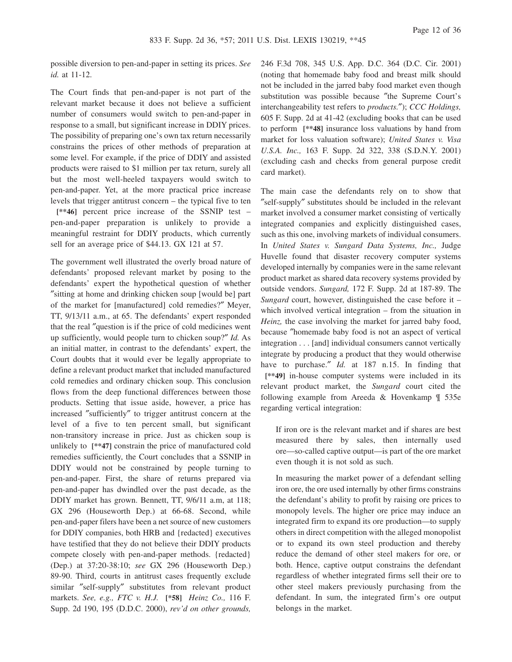possible diversion to pen-and-paper in setting its prices. *See id.* at 11-12.

The Court finds that pen-and-paper is not part of the relevant market because it does not believe a sufficient number of consumers would switch to pen-and-paper in response to a small, but significant increase in DDIY prices. The possibility of preparing one's own tax return necessarily constrains the prices of other methods of preparation at some level. For example, if the price of DDIY and assisted products were raised to \$1 million per tax return, surely all but the most well-heeled taxpayers would switch to pen-and-paper. Yet, at the more practical price increase levels that trigger antitrust concern – the typical five to ten

**[\*\*46]** percent price increase of the SSNIP test – pen-and-paper preparation is unlikely to provide a meaningful restraint for DDIY products, which currently sell for an average price of \$44.13. GX 121 at 57.

The government well illustrated the overly broad nature of defendants' proposed relevant market by posing to the defendants' expert the hypothetical question of whether ″sitting at home and drinking chicken soup [would be] part of the market for [manufactured] cold remedies?″ Meyer, TT, 9/13/11 a.m., at 65. The defendants' expert responded that the real ″question is if the price of cold medicines went up sufficiently, would people turn to chicken soup?″ *Id.* As an initial matter, in contrast to the defendants' expert, the Court doubts that it would ever be legally appropriate to define a relevant product market that included manufactured cold remedies and ordinary chicken soup. This conclusion flows from the deep functional differences between those products. Setting that issue aside, however, a price has increased ″sufficiently″ to trigger antitrust concern at the level of a five to ten percent small, but significant non-transitory increase in price. Just as chicken soup is unlikely to **[\*\*47]** constrain the price of manufactured cold remedies sufficiently, the Court concludes that a SSNIP in DDIY would not be constrained by people turning to pen-and-paper. First, the share of returns prepared via pen-and-paper has dwindled over the past decade, as the DDIY market has grown. Bennett, TT, 9/6/11 a.m, at 118; GX 296 (Houseworth Dep.) at 66-68. Second, while pen-and-paper filers have been a net source of new customers for DDIY companies, both HRB and {redacted} executives have testified that they do not believe their DDIY products compete closely with pen-and-paper methods. {redacted} (Dep.) at 37:20-38:10; *see* GX 296 (Houseworth Dep.) 89-90. Third, courts in antitrust cases frequently exclude similar ″self-supply″ substitutes from relevant product markets. *See, e.g., FTC v. H.J.* **[\*58]** *Heinz Co.,* 116 F. Supp. 2d 190, 195 (D.D.C. 2000), *rev'd on other grounds,*

246 F.3d 708, 345 U.S. App. D.C. 364 (D.C. Cir. 2001) (noting that homemade baby food and breast milk should not be included in the jarred baby food market even though substitution was possible because ″the Supreme Court's interchangeability test refers to *products.*″); *CCC Holdings,* 605 F. Supp. 2d at 41-42 (excluding books that can be used to perform **[\*\*48]** insurance loss valuations by hand from market for loss valuation software); *United States v. Visa U.S.A. Inc.,* 163 F. Supp. 2d 322, 338 (S.D.N.Y. 2001) (excluding cash and checks from general purpose credit card market).

The main case the defendants rely on to show that ″self-supply″ substitutes should be included in the relevant market involved a consumer market consisting of vertically integrated companies and explicitly distinguished cases, such as this one, involving markets of individual consumers. In *United States v. Sungard Data Systems, Inc.,* Judge Huvelle found that disaster recovery computer systems developed internally by companies were in the same relevant product market as shared data recovery systems provided by outside vendors. *Sungard,* 172 F. Supp. 2d at 187-89. The *Sungard* court, however, distinguished the case before it – which involved vertical integration – from the situation in *Heinz,* the case involving the market for jarred baby food, because ″homemade baby food is not an aspect of vertical integration . . . [and] individual consumers cannot vertically integrate by producing a product that they would otherwise have to purchase." *Id.* at 187 n.15. In finding that **[\*\*49]** in-house computer systems were included in its relevant product market, the *Sungard* court cited the following example from Areeda & Hovenkamp ¶ 535e regarding vertical integration:

If iron ore is the relevant market and if shares are best measured there by sales, then internally used ore—so-called captive output—is part of the ore market even though it is not sold as such.

In measuring the market power of a defendant selling iron ore, the ore used internally by other firms constrains the defendant's ability to profit by raising ore prices to monopoly levels. The higher ore price may induce an integrated firm to expand its ore production—to supply others in direct competition with the alleged monopolist or to expand its own steel production and thereby reduce the demand of other steel makers for ore, or both. Hence, captive output constrains the defendant regardless of whether integrated firms sell their ore to other steel makers previously purchasing from the defendant. In sum, the integrated firm's ore output belongs in the market.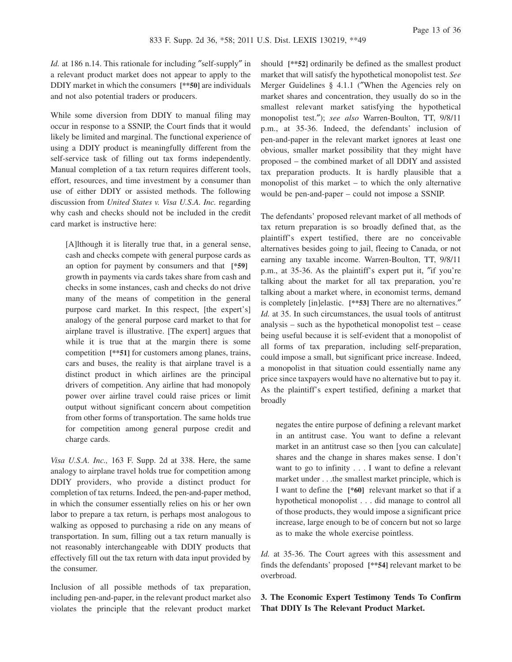*Id.* at 186 n.14. This rationale for including "self-supply" in a relevant product market does not appear to apply to the DDIY market in which the consumers **[\*\*50]** are individuals and not also potential traders or producers.

While some diversion from DDIY to manual filing may occur in response to a SSNIP, the Court finds that it would likely be limited and marginal. The functional experience of using a DDIY product is meaningfully different from the self-service task of filling out tax forms independently. Manual completion of a tax return requires different tools, effort, resources, and time investment by a consumer than use of either DDIY or assisted methods. The following discussion from *United States v. Visa U.S.A. Inc.* regarding why cash and checks should not be included in the credit card market is instructive here:

[A]lthough it is literally true that, in a general sense, cash and checks compete with general purpose cards as an option for payment by consumers and that **[\*59]** growth in payments via cards takes share from cash and checks in some instances, cash and checks do not drive many of the means of competition in the general purpose card market. In this respect, [the expert's] analogy of the general purpose card market to that for airplane travel is illustrative. [The expert] argues that while it is true that at the margin there is some competition **[\*\*51]** for customers among planes, trains, cars and buses, the reality is that airplane travel is a distinct product in which airlines are the principal drivers of competition. Any airline that had monopoly power over airline travel could raise prices or limit output without significant concern about competition from other forms of transportation. The same holds true for competition among general purpose credit and charge cards.

*Visa U.S.A. Inc.,* 163 F. Supp. 2d at 338. Here, the same analogy to airplane travel holds true for competition among DDIY providers, who provide a distinct product for completion of tax returns. Indeed, the pen-and-paper method, in which the consumer essentially relies on his or her own labor to prepare a tax return, is perhaps most analogous to walking as opposed to purchasing a ride on any means of transportation. In sum, filling out a tax return manually is not reasonably interchangeable with DDIY products that effectively fill out the tax return with data input provided by the consumer.

Inclusion of all possible methods of tax preparation, including pen-and-paper, in the relevant product market also violates the principle that the relevant product market

should **[\*\*52]** ordinarily be defined as the smallest product market that will satisfy the hypothetical monopolist test. *See* Merger Guidelines § 4.1.1 ("When the Agencies rely on market shares and concentration, they usually do so in the smallest relevant market satisfying the hypothetical monopolist test.″); *see also* Warren-Boulton, TT, 9/8/11 p.m., at 35-36. Indeed, the defendants' inclusion of pen-and-paper in the relevant market ignores at least one obvious, smaller market possibility that they might have proposed – the combined market of all DDIY and assisted tax preparation products. It is hardly plausible that a monopolist of this market – to which the only alternative would be pen-and-paper – could not impose a SSNIP.

The defendants' proposed relevant market of all methods of tax return preparation is so broadly defined that, as the plaintiff's expert testified, there are no conceivable alternatives besides going to jail, fleeing to Canada, or not earning any taxable income. Warren-Boulton, TT, 9/8/11 p.m., at 35-36. As the plaintiff's expert put it, ″if you're talking about the market for all tax preparation, you're talking about a market where, in economist terms, demand is completely [in]elastic. **[\*\*53]** There are no alternatives.″ *Id.* at 35. In such circumstances, the usual tools of antitrust analysis – such as the hypothetical monopolist test – cease being useful because it is self-evident that a monopolist of all forms of tax preparation, including self-preparation, could impose a small, but significant price increase. Indeed, a monopolist in that situation could essentially name any price since taxpayers would have no alternative but to pay it. As the plaintiff's expert testified, defining a market that broadly

negates the entire purpose of defining a relevant market in an antitrust case. You want to define a relevant market in an antitrust case so then [you can calculate] shares and the change in shares makes sense. I don't want to go to infinity . . . I want to define a relevant market under . . .the smallest market principle, which is I want to define the **[\*60]** relevant market so that if a hypothetical monopolist . . . did manage to control all of those products, they would impose a significant price increase, large enough to be of concern but not so large as to make the whole exercise pointless.

*Id.* at 35-36. The Court agrees with this assessment and finds the defendants' proposed **[\*\*54]** relevant market to be overbroad.

**3. The Economic Expert Testimony Tends To Confirm That DDIY Is The Relevant Product Market.**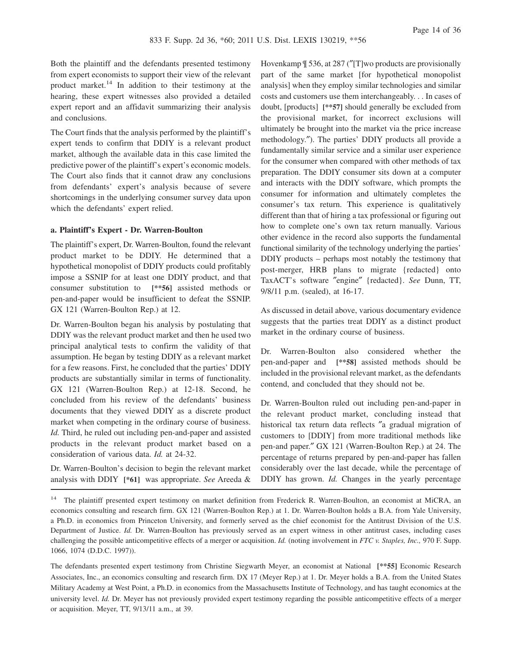Both the plaintiff and the defendants presented testimony from expert economists to support their view of the relevant product market.<sup>14</sup> In addition to their testimony at the hearing, these expert witnesses also provided a detailed expert report and an affidavit summarizing their analysis and conclusions.

The Court finds that the analysis performed by the plaintiff's expert tends to confirm that DDIY is a relevant product market, although the available data in this case limited the predictive power of the plaintiff's expert's economic models. The Court also finds that it cannot draw any conclusions from defendants' expert's analysis because of severe shortcomings in the underlying consumer survey data upon which the defendants' expert relied.

### **a. Plaintiff's Expert - Dr. Warren-Boulton**

The plaintiff's expert, Dr. Warren-Boulton, found the relevant product market to be DDIY. He determined that a hypothetical monopolist of DDIY products could profitably impose a SSNIP for at least one DDIY product, and that consumer substitution to **[\*\*56]** assisted methods or pen-and-paper would be insufficient to defeat the SSNIP. GX 121 (Warren-Boulton Rep.) at 12.

Dr. Warren-Boulton began his analysis by postulating that DDIY was the relevant product market and then he used two principal analytical tests to confirm the validity of that assumption. He began by testing DDIY as a relevant market for a few reasons. First, he concluded that the parties' DDIY products are substantially similar in terms of functionality. GX 121 (Warren-Boulton Rep.) at 12-18. Second, he concluded from his review of the defendants' business documents that they viewed DDIY as a discrete product market when competing in the ordinary course of business. *Id.* Third, he ruled out including pen-and-paper and assisted products in the relevant product market based on a consideration of various data. *Id.* at 24-32.

Dr. Warren-Boulton's decision to begin the relevant market analysis with DDIY **[\*61]** was appropriate. *See* Areeda & Hovenkamp  $\frac{1}{2}$  536, at 287 ("[T]wo products are provisionally part of the same market [for hypothetical monopolist analysis] when they employ similar technologies and similar costs and customers use them interchangeably. . . In cases of doubt, [products] **[\*\*57]** should generally be excluded from the provisional market, for incorrect exclusions will ultimately be brought into the market via the price increase methodology.″). The parties' DDIY products all provide a fundamentally similar service and a similar user experience for the consumer when compared with other methods of tax preparation. The DDIY consumer sits down at a computer and interacts with the DDIY software, which prompts the consumer for information and ultimately completes the consumer's tax return. This experience is qualitatively different than that of hiring a tax professional or figuring out how to complete one's own tax return manually. Various other evidence in the record also supports the fundamental functional similarity of the technology underlying the parties' DDIY products – perhaps most notably the testimony that post-merger, HRB plans to migrate {redacted} onto TaxACT's software ″engine″ {redacted}. *See* Dunn, TT, 9/8/11 p.m. (sealed), at 16-17.

As discussed in detail above, various documentary evidence suggests that the parties treat DDIY as a distinct product market in the ordinary course of business.

Dr. Warren-Boulton also considered whether the pen-and-paper and **[\*\*58]** assisted methods should be included in the provisional relevant market, as the defendants contend, and concluded that they should not be.

Dr. Warren-Boulton ruled out including pen-and-paper in the relevant product market, concluding instead that historical tax return data reflects ″a gradual migration of customers to [DDIY] from more traditional methods like pen-and paper.″ GX 121 (Warren-Boulton Rep.) at 24. The percentage of returns prepared by pen-and-paper has fallen considerably over the last decade, while the percentage of DDIY has grown. *Id.* Changes in the yearly percentage

<sup>14</sup> The plaintiff presented expert testimony on market definition from Frederick R. Warren-Boulton, an economist at MiCRA, an economics consulting and research firm. GX 121 (Warren-Boulton Rep.) at 1. Dr. Warren-Boulton holds a B.A. from Yale University, a Ph.D. in economics from Princeton University, and formerly served as the chief economist for the Antitrust Division of the U.S. Department of Justice. *Id.* Dr. Warren-Boulton has previously served as an expert witness in other antitrust cases, including cases challenging the possible anticompetitive effects of a merger or acquisition. *Id.* (noting involvement in *FTC v. Staples, Inc.,* 970 F. Supp. 1066, 1074 (D.D.C. 1997)).

The defendants presented expert testimony from Christine Siegwarth Meyer, an economist at National **[\*\*55]** Economic Research Associates, Inc., an economics consulting and research firm. DX 17 (Meyer Rep.) at 1. Dr. Meyer holds a B.A. from the United States Military Academy at West Point, a Ph.D. in economics from the Massachusetts Institute of Technology, and has taught economics at the university level. *Id.* Dr. Meyer has not previously provided expert testimony regarding the possible anticompetitive effects of a merger or acquisition. Meyer, TT, 9/13/11 a.m., at 39.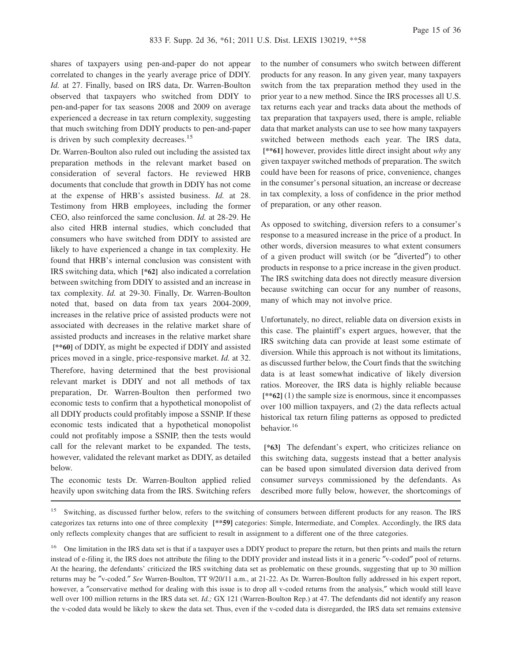shares of taxpayers using pen-and-paper do not appear correlated to changes in the yearly average price of DDIY. *Id.* at 27. Finally, based on IRS data, Dr. Warren-Boulton observed that taxpayers who switched from DDIY to pen-and-paper for tax seasons 2008 and 2009 on average experienced a decrease in tax return complexity, suggesting that much switching from DDIY products to pen-and-paper is driven by such complexity decreases.<sup>15</sup>

Dr. Warren-Boulton also ruled out including the assisted tax preparation methods in the relevant market based on consideration of several factors. He reviewed HRB documents that conclude that growth in DDIY has not come at the expense of HRB's assisted business. *Id.* at 28. Testimony from HRB employees, including the former CEO, also reinforced the same conclusion. *Id.* at 28-29. He also cited HRB internal studies, which concluded that consumers who have switched from DDIY to assisted are likely to have experienced a change in tax complexity. He found that HRB's internal conclusion was consistent with IRS switching data, which **[\*62]** also indicated a correlation between switching from DDIY to assisted and an increase in tax complexity. *Id.* at 29-30. Finally, Dr. Warren-Boulton noted that, based on data from tax years 2004-2009, increases in the relative price of assisted products were not associated with decreases in the relative market share of assisted products and increases in the relative market share **[\*\*60]** of DDIY, as might be expected if DDIY and assisted prices moved in a single, price-responsive market. *Id.* at 32. Therefore, having determined that the best provisional relevant market is DDIY and not all methods of tax preparation, Dr. Warren-Boulton then performed two economic tests to confirm that a hypothetical monopolist of all DDIY products could profitably impose a SSNIP. If these economic tests indicated that a hypothetical monopolist could not profitably impose a SSNIP, then the tests would call for the relevant market to be expanded. The tests, however, validated the relevant market as DDIY, as detailed below.

The economic tests Dr. Warren-Boulton applied relied heavily upon switching data from the IRS. Switching refers to the number of consumers who switch between different products for any reason. In any given year, many taxpayers switch from the tax preparation method they used in the prior year to a new method. Since the IRS processes all U.S. tax returns each year and tracks data about the methods of tax preparation that taxpayers used, there is ample, reliable data that market analysts can use to see how many taxpayers switched between methods each year. The IRS data, **[\*\*61]** however, provides little direct insight about *why* any given taxpayer switched methods of preparation. The switch could have been for reasons of price, convenience, changes in the consumer's personal situation, an increase or decrease in tax complexity, a loss of confidence in the prior method of preparation, or any other reason.

As opposed to switching, diversion refers to a consumer's response to a measured increase in the price of a product. In other words, diversion measures to what extent consumers of a given product will switch (or be ″diverted″) to other products in response to a price increase in the given product. The IRS switching data does not directly measure diversion because switching can occur for any number of reasons, many of which may not involve price.

Unfortunately, no direct, reliable data on diversion exists in this case. The plaintiff's expert argues, however, that the IRS switching data can provide at least some estimate of diversion. While this approach is not without its limitations, as discussed further below, the Court finds that the switching data is at least somewhat indicative of likely diversion ratios. Moreover, the IRS data is highly reliable because **[\*\*62]** (1) the sample size is enormous, since it encompasses over 100 million taxpayers, and (2) the data reflects actual historical tax return filing patterns as opposed to predicted behavior.<sup>16</sup>

**[\*63]** The defendant's expert, who criticizes reliance on this switching data, suggests instead that a better analysis can be based upon simulated diversion data derived from consumer surveys commissioned by the defendants. As described more fully below, however, the shortcomings of

<sup>16</sup> One limitation in the IRS data set is that if a taxpayer uses a DDIY product to prepare the return, but then prints and mails the return instead of e-filing it, the IRS does not attribute the filing to the DDIY provider and instead lists it in a generic ″v-coded″ pool of returns. At the hearing, the defendants' criticized the IRS switching data set as problematic on these grounds, suggesting that up to 30 million returns may be ″v-coded.″ *See* Warren-Boulton, TT 9/20/11 a.m., at 21-22. As Dr. Warren-Boulton fully addressed in his expert report, however, a "conservative method for dealing with this issue is to drop all v-coded returns from the analysis," which would still leave well over 100 million returns in the IRS data set. *Id.*; GX 121 (Warren-Boulton Rep.) at 47. The defendants did not identify any reason the v-coded data would be likely to skew the data set. Thus, even if the v-coded data is disregarded, the IRS data set remains extensive

<sup>&</sup>lt;sup>15</sup> Switching, as discussed further below, refers to the switching of consumers between different products for any reason. The IRS categorizes tax returns into one of three complexity **[\*\*59]** categories: Simple, Intermediate, and Complex. Accordingly, the IRS data only reflects complexity changes that are sufficient to result in assignment to a different one of the three categories.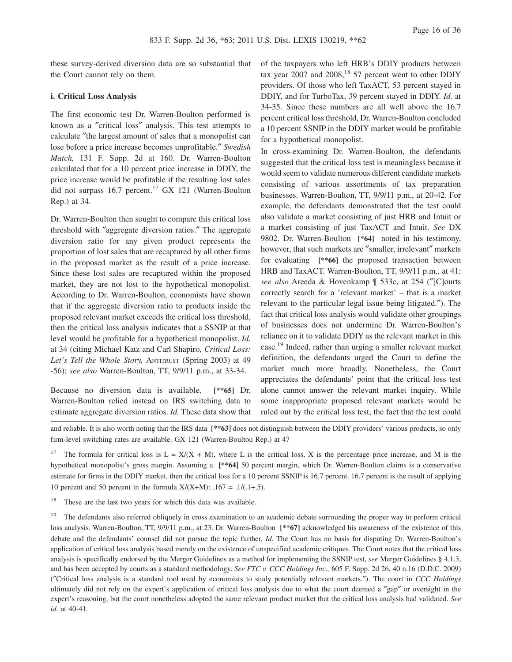these survey-derived diversion data are so substantial that the Court cannot rely on them.

### **i. Critical Loss Analysis**

The first economic test Dr. Warren-Boulton performed is known as a ″critical loss″ analysis. This test attempts to calculate ″the largest amount of sales that a monopolist can lose before a price increase becomes unprofitable.″ *Swedish Match,* 131 F. Supp. 2d at 160. Dr. Warren-Boulton calculated that for a 10 percent price increase in DDIY, the price increase would be profitable if the resulting lost sales did not surpass 16.7 percent.<sup>17</sup> GX 121 (Warren-Boulton Rep.) at 34.

Dr. Warren-Boulton then sought to compare this critical loss threshold with ″aggregate diversion ratios.″ The aggregate diversion ratio for any given product represents the proportion of lost sales that are recaptured by all other firms in the proposed market as the result of a price increase. Since these lost sales are recaptured within the proposed market, they are not lost to the hypothetical monopolist. According to Dr. Warren-Boulton, economists have shown that if the aggregate diversion ratio to products inside the proposed relevant market exceeds the critical loss threshold, then the critical loss analysis indicates that a SSNIP at that level would be profitable for a hypothetical monopolist. *Id.* at 34 (citing Michael Katz and Carl Shapiro, *Critical Loss: Let's Tell the Whole Story,* ANTITRUST (Spring 2003) at 49 -56); *see also* Warren-Boulton, TT, 9/9/11 p.m., at 33-34.

Because no diversion data is available, **[\*\*65]** Dr. Warren-Boulton relied instead on IRS switching data to estimate aggregate diversion ratios. *Id.* These data show that of the taxpayers who left HRB's DDIY products between tax year 2007 and 2008, $18\,57$  percent went to other DDIY providers. Of those who left TaxACT, 53 percent stayed in DDIY, and for TurboTax, 39 percent stayed in DDIY. *Id.* at 34-35. Since these numbers are all well above the 16.7 percent critical loss threshold, Dr. Warren-Boulton concluded a 10 percent SSNIP in the DDIY market would be profitable for a hypothetical monopolist.

In cross-examining Dr. Warren-Boulton, the defendants suggested that the critical loss test is meaningless because it would seem to validate numerous different candidate markets consisting of various assortments of tax preparation businesses. Warren-Boulton, TT, 9/9/11 p.m., at 20-42. For example, the defendants demonstrated that the test could also validate a market consisting of just HRB and Intuit or a market consisting of just TaxACT and Intuit. *See* DX 9802. Dr. Warren-Boulton **[\*64]** noted in his testimony, however, that such markets are "smaller, irrelevant" markets for evaluating **[\*\*66]** the proposed transaction between HRB and TaxACT. Warren-Boulton, TT, 9/9/11 p.m., at 41; *see also* Areeda & Hovenkamp ¶ 533c, at 254 (″[C]ourts correctly search for a 'relevant market' – that is a market relevant to the particular legal issue being litigated.″). The fact that critical loss analysis would validate other groupings of businesses does not undermine Dr. Warren-Boulton's reliance on it to validate DDIY as the relevant market in this case.<sup>19</sup> Indeed, rather than urging a smaller relevant market definition, the defendants urged the Court to define the market much more broadly. Nonetheless, the Court appreciates the defendants' point that the critical loss test alone cannot answer the relevant market inquiry. While some inappropriate proposed relevant markets would be ruled out by the critical loss test, the fact that the test could

and reliable. It is also worth noting that the IRS data **[\*\*63]** does not distinguish between the DDIY providers' various products, so only firm-level switching rates are available. GX 121 (Warren-Boulton Rep.) at 47

<sup>17</sup> The formula for critical loss is  $L = X/(X + M)$ , where L is the critical loss, X is the percentage price increase, and M is the hypothetical monopolist's gross margin. Assuming a **[\*\*64]** 50 percent margin, which Dr. Warren-Boulton claims is a conservative estimate for firms in the DDIY market, then the critical loss for a 10 percent SSNIP is 16.7 percent. 16.7 percent is the result of applying 10 percent and 50 percent in the formula  $X/(X+M)$ : .167 = .1/(.1+.5).

<sup>18</sup> These are the last two years for which this data was available.

<sup>19</sup> The defendants also referred obliquely in cross examination to an academic debate surrounding the proper way to perform critical loss analysis. Warren-Boulton, TT, 9/9/11 p.m., at 23. Dr. Warren-Boulton **[\*\*67]** acknowledged his awareness of the existence of this debate and the defendants' counsel did not pursue the topic further. *Id.* The Court has no basis for disputing Dr. Warren-Boulton's application of critical loss analysis based merely on the existence of unspecified academic critiques. The Court notes that the critical loss analysis is specifically endorsed by the Merger Guidelines as a method for implementing the SSNIP test, *see* Merger Guidelines § 4.1.3, and has been accepted by courts as a standard methodology. *See FTC v. CCC Holdings Inc.,* 605 F. Supp. 2d 26, 40 n.16 (D.D.C. 2009) (″Critical loss analysis is a standard tool used by economists to study potentially relevant markets.″). The court in *CCC Holdings* ultimately did not rely on the expert's application of critical loss analysis due to what the court deemed a ″gap″ or oversight in the expert's reasoning, but the court nonetheless adopted the same relevant product market that the critical loss analysis had validated. *See id.* at 40-41.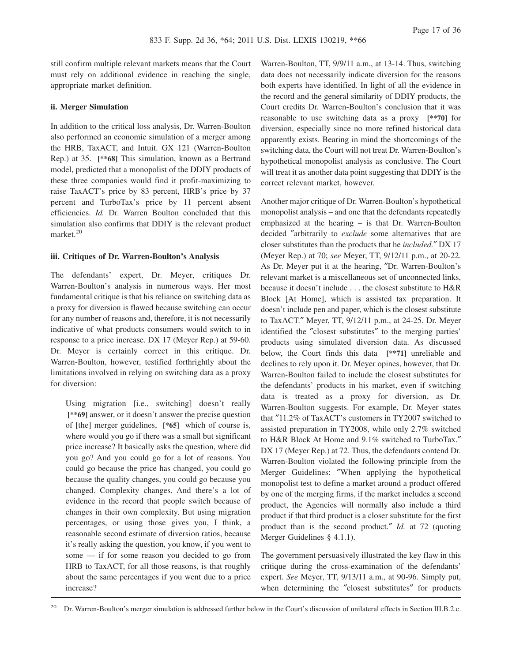still confirm multiple relevant markets means that the Court must rely on additional evidence in reaching the single, appropriate market definition.

# **ii. Merger Simulation**

In addition to the critical loss analysis, Dr. Warren-Boulton also performed an economic simulation of a merger among the HRB, TaxACT, and Intuit. GX 121 (Warren-Boulton Rep.) at 35. **[\*\*68]** This simulation, known as a Bertrand model, predicted that a monopolist of the DDIY products of these three companies would find it profit-maximizing to raise TaxACT's price by 83 percent, HRB's price by 37 percent and TurboTax's price by 11 percent absent efficiencies. *Id.* Dr. Warren Boulton concluded that this simulation also confirms that DDIY is the relevant product market.<sup>20</sup>

# **iii. Critiques of Dr. Warren-Boulton's Analysis**

The defendants' expert, Dr. Meyer, critiques Dr. Warren-Boulton's analysis in numerous ways. Her most fundamental critique is that his reliance on switching data as a proxy for diversion is flawed because switching can occur for any number of reasons and, therefore, it is not necessarily indicative of what products consumers would switch to in response to a price increase. DX 17 (Meyer Rep.) at 59-60. Dr. Meyer is certainly correct in this critique. Dr. Warren-Boulton, however, testified forthrightly about the limitations involved in relying on switching data as a proxy for diversion:

Using migration [i.e., switching] doesn't really **[\*\*69]** answer, or it doesn't answer the precise question of [the] merger guidelines, **[\*65]** which of course is, where would you go if there was a small but significant price increase? It basically asks the question, where did you go? And you could go for a lot of reasons. You could go because the price has changed, you could go because the quality changes, you could go because you changed. Complexity changes. And there's a lot of evidence in the record that people switch because of changes in their own complexity. But using migration percentages, or using those gives you, I think, a reasonable second estimate of diversion ratios, because it's really asking the question, you know, if you went to some — if for some reason you decided to go from HRB to TaxACT, for all those reasons, is that roughly about the same percentages if you went due to a price increase?

Warren-Boulton, TT, 9/9/11 a.m., at 13-14. Thus, switching data does not necessarily indicate diversion for the reasons both experts have identified. In light of all the evidence in the record and the general similarity of DDIY products, the Court credits Dr. Warren-Boulton's conclusion that it was reasonable to use switching data as a proxy **[\*\*70]** for diversion, especially since no more refined historical data apparently exists. Bearing in mind the shortcomings of the switching data, the Court will not treat Dr. Warren-Boulton's hypothetical monopolist analysis as conclusive. The Court will treat it as another data point suggesting that DDIY is the correct relevant market, however.

Another major critique of Dr. Warren-Boulton's hypothetical monopolist analysis – and one that the defendants repeatedly emphasized at the hearing – is that Dr. Warren-Boulton decided ″arbitrarily to *exclude* some alternatives that are closer substitutes than the products that he *included.*″ DX 17 (Meyer Rep.) at 70; *see* Meyer, TT, 9/12/11 p.m., at 20-22. As Dr. Meyer put it at the hearing, ″Dr. Warren-Boulton's relevant market is a miscellaneous set of unconnected links, because it doesn't include . . . the closest substitute to H&R Block [At Home], which is assisted tax preparation. It doesn't include pen and paper, which is the closest substitute to TaxACT.″ Meyer, TT, 9/12/11 p.m., at 24-25. Dr. Meyer identified the ″closest substitutes″ to the merging parties' products using simulated diversion data. As discussed below, the Court finds this data **[\*\*71]** unreliable and declines to rely upon it. Dr. Meyer opines, however, that Dr. Warren-Boulton failed to include the closest substitutes for the defendants' products in his market, even if switching data is treated as a proxy for diversion, as Dr. Warren-Boulton suggests. For example, Dr. Meyer states that ″11.2% of TaxACT's customers in TY2007 switched to assisted preparation in TY2008, while only 2.7% switched to H&R Block At Home and 9.1% switched to TurboTax.″ DX 17 (Meyer Rep.) at 72. Thus, the defendants contend Dr. Warren-Boulton violated the following principle from the Merger Guidelines: ″When applying the hypothetical monopolist test to define a market around a product offered by one of the merging firms, if the market includes a second product, the Agencies will normally also include a third product if that third product is a closer substitute for the first product than is the second product.″ *Id.* at 72 (quoting Merger Guidelines § 4.1.1).

The government persuasively illustrated the key flaw in this critique during the cross-examination of the defendants' expert. *See* Meyer, TT, 9/13/11 a.m., at 90-96. Simply put, when determining the "closest substitutes" for products

<sup>20</sup> Dr. Warren-Boulton's merger simulation is addressed further below in the Court's discussion of unilateral effects in Section III.B.2.c.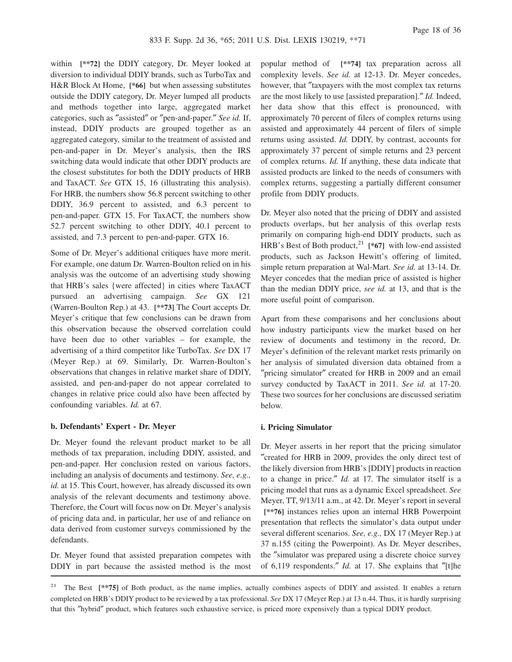within **[\*\*72]** the DDIY category, Dr. Meyer looked at diversion to individual DDIY brands, such as TurboTax and H&R Block At Home, **[\*66]** but when assessing substitutes outside the DDIY category, Dr. Meyer lumped all products and methods together into large, aggregated market categories, such as ″assisted″ or ″pen-and-paper.″ *See id.* If, instead, DDIY products are grouped together as an aggregated category, similar to the treatment of assisted and pen-and-paper in Dr. Meyer's analysis, then the IRS switching data would indicate that other DDIY products are the closest substitutes for both the DDIY products of HRB and TaxACT. *See* GTX 15, 16 (illustrating this analysis). For HRB, the numbers show 56.8 percent switching to other DDIY, 36.9 percent to assisted, and 6.3 percent to pen-and-paper. GTX 15. For TaxACT, the numbers show 52.7 percent switching to other DDIY, 40.1 percent to assisted, and 7.3 percent to pen-and-paper. GTX 16.

Some of Dr. Meyer's additional critiques have more merit. For example, one datum Dr. Warren-Boulton relied on in his analysis was the outcome of an advertising study showing that HRB's sales {were affected} in cities where TaxACT pursued an advertising campaign. *See* GX 121 (Warren-Boulton Rep.) at 43. **[\*\*73]** The Court accepts Dr. Meyer's critique that few conclusions can be drawn from this observation because the observed correlation could have been due to other variables – for example, the advertising of a third competitor like TurboTax. *See* DX 17 (Meyer Rep.) at 69. Similarly, Dr. Warren-Boulton's observations that changes in relative market share of DDIY, assisted, and pen-and-paper do not appear correlated to changes in relative price could also have been affected by confounding variables. *Id.* at 67.

#### **b. Defendants' Expert - Dr. Meyer**

Dr. Meyer found the relevant product market to be all methods of tax preparation, including DDIY, assisted, and pen-and-paper. Her conclusion rested on various factors, including an analysis of documents and testimony. *See, e.g., id.* at 15. This Court, however, has already discussed its own analysis of the relevant documents and testimony above. Therefore, the Court will focus now on Dr. Meyer's analysis of pricing data and, in particular, her use of and reliance on data derived from customer surveys commissioned by the defendants.

Dr. Meyer found that assisted preparation competes with DDIY in part because the assisted method is the most popular method of **[\*\*74]** tax preparation across all complexity levels. *See id.* at 12-13. Dr. Meyer concedes, however, that "taxpayers with the most complex tax returns are the most likely to use [assisted preparation].″ *Id.* Indeed, her data show that this effect is pronounced, with approximately 70 percent of filers of complex returns using assisted and approximately 44 percent of filers of simple returns using assisted. *Id.* DDIY, by contrast, accounts for approximately 37 percent of simple returns and 23 percent of complex returns. *Id.* If anything, these data indicate that assisted products are linked to the needs of consumers with complex returns, suggesting a partially different consumer profile from DDIY products.

Dr. Meyer also noted that the pricing of DDIY and assisted products overlaps, but her analysis of this overlap rests primarily on comparing high-end DDIY products, such as HRB's Best of Both product,<sup>21</sup> [\*67] with low-end assisted products, such as Jackson Hewitt's offering of limited, simple return preparation at Wal-Mart. *See id.* at 13-14. Dr. Meyer concedes that the median price of assisted is higher than the median DDIY price, *see id.* at 13, and that is the more useful point of comparison.

Apart from these comparisons and her conclusions about how industry participants view the market based on her review of documents and testimony in the record, Dr. Meyer's definition of the relevant market rests primarily on her analysis of simulated diversion data obtained from a ″pricing simulator″ created for HRB in 2009 and an email survey conducted by TaxACT in 2011. *See id.* at 17-20. These two sources for her conclusions are discussed seriatim below.

#### **i. Pricing Simulator**

Dr. Meyer asserts in her report that the pricing simulator ″created for HRB in 2009, provides the only direct test of the likely diversion from HRB's [DDIY] products in reaction to a change in price.″ *Id.* at 17. The simulator itself is a pricing model that runs as a dynamic Excel spreadsheet. *See* Meyer, TT, 9/13/11 a.m., at 42. Dr. Meyer's report in several **[\*\*76]** instances relies upon an internal HRB Powerpoint presentation that reflects the simulator's data output under several different scenarios. *See, e.g.,* DX 17 (Meyer Rep.) at 37 n.155 (citing the Powerpoint). As Dr. Meyer describes, the ″simulator was prepared using a discrete choice survey of 6,119 respondents.″ *Id.* at 17. She explains that ″[t]he

<sup>21</sup> The Best <sup>[\*\*</sup>75] of Both product, as the name implies, actually combines aspects of DDIY and assisted. It enables a return completed on HRB's DDIY product to be reviewed by a tax professional. *See* DX 17 (Meyer Rep.) at 13 n.44. Thus, it is hardly surprising that this ″hybrid″ product, which features such exhaustive service, is priced more expensively than a typical DDIY product.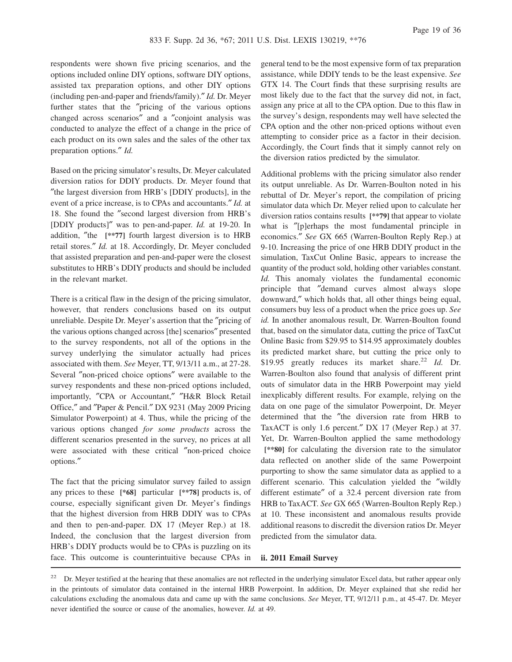respondents were shown five pricing scenarios, and the options included online DIY options, software DIY options, assisted tax preparation options, and other DIY options (including pen-and-paper and friends/family).″ *Id.* Dr. Meyer further states that the ″pricing of the various options changed across scenarios″ and a ″conjoint analysis was conducted to analyze the effect of a change in the price of each product on its own sales and the sales of the other tax preparation options.″ *Id.*

Based on the pricing simulator's results, Dr. Meyer calculated diversion ratios for DDIY products. Dr. Meyer found that ″the largest diversion from HRB's [DDIY products], in the event of a price increase, is to CPAs and accountants.″ *Id.* at 18. She found the ″second largest diversion from HRB's [DDIY products]″ was to pen-and-paper. *Id.* at 19-20. In addition, ″the **[\*\*77]** fourth largest diversion is to HRB retail stores.″ *Id.* at 18. Accordingly, Dr. Meyer concluded that assisted preparation and pen-and-paper were the closest substitutes to HRB's DDIY products and should be included in the relevant market.

There is a critical flaw in the design of the pricing simulator, however, that renders conclusions based on its output unreliable. Despite Dr. Meyer's assertion that the ″pricing of the various options changed across [the] scenarios″ presented to the survey respondents, not all of the options in the survey underlying the simulator actually had prices associated with them. *See* Meyer, TT, 9/13/11 a.m., at 27-28. Several ″non-priced choice options″ were available to the survey respondents and these non-priced options included, importantly, ″CPA or Accountant,″ ″H&R Block Retail Office,″ and ″Paper & Pencil.″ DX 9231 (May 2009 Pricing Simulator Powerpoint) at 4. Thus, while the pricing of the various options changed *for some products* across the different scenarios presented in the survey, no prices at all were associated with these critical ″non-priced choice options.″

The fact that the pricing simulator survey failed to assign any prices to these **[\*68]** particular **[\*\*78]** products is, of course, especially significant given Dr. Meyer's findings that the highest diversion from HRB DDIY was to CPAs and then to pen-and-paper. DX 17 (Meyer Rep.) at 18. Indeed, the conclusion that the largest diversion from HRB's DDIY products would be to CPAs is puzzling on its face. This outcome is counterintuitive because CPAs in general tend to be the most expensive form of tax preparation assistance, while DDIY tends to be the least expensive. *See* GTX 14. The Court finds that these surprising results are most likely due to the fact that the survey did not, in fact, assign any price at all to the CPA option. Due to this flaw in the survey's design, respondents may well have selected the CPA option and the other non-priced options without even attempting to consider price as a factor in their decision. Accordingly, the Court finds that it simply cannot rely on the diversion ratios predicted by the simulator.

Additional problems with the pricing simulator also render its output unreliable. As Dr. Warren-Boulton noted in his rebuttal of Dr. Meyer's report, the compilation of pricing simulator data which Dr. Meyer relied upon to calculate her diversion ratios contains results **[\*\*79]** that appear to violate what is "[p]erhaps the most fundamental principle in economics.″ *See* GX 665 (Warren-Boulton Reply Rep.) at 9-10. Increasing the price of one HRB DDIY product in the simulation, TaxCut Online Basic, appears to increase the quantity of the product sold, holding other variables constant. *Id.* This anomaly violates the fundamental economic principle that ″demand curves almost always slope downward,″ which holds that, all other things being equal, consumers buy less of a product when the price goes up. *See id.* In another anomalous result, Dr. Warren-Boulton found that, based on the simulator data, cutting the price of TaxCut Online Basic from \$29.95 to \$14.95 approximately doubles its predicted market share, but cutting the price only to \$19.95 greatly reduces its market share.<sup>22</sup> *Id.* Dr. Warren-Boulton also found that analysis of different print outs of simulator data in the HRB Powerpoint may yield inexplicably different results. For example, relying on the data on one page of the simulator Powerpoint, Dr. Meyer determined that the ″the diversion rate from HRB to TaxACT is only 1.6 percent.″ DX 17 (Meyer Rep.) at 37. Yet, Dr. Warren-Boulton applied the same methodology **[\*\*80]** for calculating the diversion rate to the simulator data reflected on another slide of the same Powerpoint purporting to show the same simulator data as applied to a different scenario. This calculation yielded the ″wildly different estimate″ of a 32.4 percent diversion rate from HRB to TaxACT. *See* GX 665 (Warren-Boulton Reply Rep.) at 10. These inconsistent and anomalous results provide additional reasons to discredit the diversion ratios Dr. Meyer predicted from the simulator data.

#### **ii. 2011 Email Survey**

<sup>&</sup>lt;sup>22</sup> Dr. Meyer testified at the hearing that these anomalies are not reflected in the underlying simulator Excel data, but rather appear only in the printouts of simulator data contained in the internal HRB Powerpoint. In addition, Dr. Meyer explained that she redid her calculations excluding the anomalous data and came up with the same conclusions. *See* Meyer, TT, 9/12/11 p.m., at 45-47. Dr. Meyer never identified the source or cause of the anomalies, however. *Id.* at 49.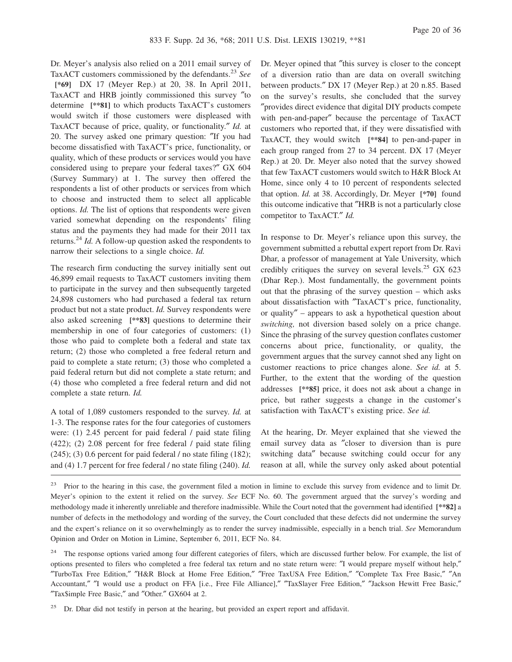Dr. Meyer's analysis also relied on a 2011 email survey of TaxACT customers commissioned by the defendants.<sup>23</sup> *See*

**[\*69]** DX 17 (Meyer Rep.) at 20, 38. In April 2011, TaxACT and HRB jointly commissioned this survey ″to determine **[\*\*81]** to which products TaxACT's customers would switch if those customers were displeased with TaxACT because of price, quality, or functionality.″ *Id.* at 20. The survey asked one primary question: ″If you had become dissatisfied with TaxACT's price, functionality, or quality, which of these products or services would you have considered using to prepare your federal taxes?″ GX 604 (Survey Summary) at 1. The survey then offered the respondents a list of other products or services from which to choose and instructed them to select all applicable options. *Id.* The list of options that respondents were given varied somewhat depending on the respondents' filing status and the payments they had made for their 2011 tax returns.<sup>24</sup> *Id.* A follow-up question asked the respondents to narrow their selections to a single choice. *Id.*

The research firm conducting the survey initially sent out 46,899 email requests to TaxACT customers inviting them to participate in the survey and then subsequently targeted 24,898 customers who had purchased a federal tax return product but not a state product. *Id.* Survey respondents were also asked screening **[\*\*83]** questions to determine their membership in one of four categories of customers: (1) those who paid to complete both a federal and state tax return; (2) those who completed a free federal return and paid to complete a state return; (3) those who completed a paid federal return but did not complete a state return; and (4) those who completed a free federal return and did not complete a state return. *Id.*

A total of 1,089 customers responded to the survey. *Id.* at 1-3. The response rates for the four categories of customers were: (1) 2.45 percent for paid federal / paid state filing (422); (2) 2.08 percent for free federal / paid state filing  $(245)$ ; (3) 0.6 percent for paid federal / no state filing (182); and (4) 1.7 percent for free federal / no state filing (240). *Id.*

Dr. Meyer opined that ″this survey is closer to the concept of a diversion ratio than are data on overall switching between products.″ DX 17 (Meyer Rep.) at 20 n.85. Based on the survey's results, she concluded that the survey ″provides direct evidence that digital DIY products compete with pen-and-paper″ because the percentage of TaxACT customers who reported that, if they were dissatisfied with TaxACT, they would switch **[\*\*84]** to pen-and-paper in each group ranged from 27 to 34 percent. DX 17 (Meyer Rep.) at 20. Dr. Meyer also noted that the survey showed that few TaxACT customers would switch to H&R Block At Home, since only 4 to 10 percent of respondents selected that option. *Id.* at 38. Accordingly, Dr. Meyer **[\*70]** found this outcome indicative that ″HRB is not a particularly close competitor to TaxACT.″ *Id.*

In response to Dr. Meyer's reliance upon this survey, the government submitted a rebuttal expert report from Dr. Ravi Dhar, a professor of management at Yale University, which credibly critiques the survey on several levels.<sup>25</sup> GX 623 (Dhar Rep.). Most fundamentally, the government points out that the phrasing of the survey question – which asks about dissatisfaction with ″TaxACT's price, functionality, or quality″ – appears to ask a hypothetical question about *switching,* not diversion based solely on a price change. Since the phrasing of the survey question conflates customer concerns about price, functionality, or quality, the government argues that the survey cannot shed any light on customer reactions to price changes alone. *See id.* at 5. Further, to the extent that the wording of the question addresses **[\*\*85]** price, it does not ask about a change in price, but rather suggests a change in the customer's satisfaction with TaxACT's existing price. *See id.*

At the hearing, Dr. Meyer explained that she viewed the email survey data as ″closer to diversion than is pure switching data″ because switching could occur for any reason at all, while the survey only asked about potential

<sup>23</sup> Prior to the hearing in this case, the government filed a motion in limine to exclude this survey from evidence and to limit Dr. Meyer's opinion to the extent it relied on the survey. *See* ECF No. 60. The government argued that the survey's wording and methodology made it inherently unreliable and therefore inadmissible. While the Court noted that the government had identified **[\*\*82]** a number of defects in the methodology and wording of the survey, the Court concluded that these defects did not undermine the survey and the expert's reliance on it so overwhelmingly as to render the survey inadmissible, especially in a bench trial. *See* Memorandum Opinion and Order on Motion in Limine, September 6, 2011, ECF No. 84.

<sup>24</sup> The response options varied among four different categories of filers, which are discussed further below. For example, the list of options presented to filers who completed a free federal tax return and no state return were: ″I would prepare myself without help,″ ″TurboTax Free Edition,″ ″H&R Block at Home Free Edition,″ ″Free TaxUSA Free Edition,″ ″Complete Tax Free Basic,″ ″An Accountant,″ ″I would use a product on FFA [i.e., Free File Alliance],″ ″TaxSlayer Free Edition,″ ″Jackson Hewitt Free Basic,″ ″Tax\$imple Free Basic,″ and ″Other.″ GX604 at 2.

<sup>25</sup> Dr. Dhar did not testify in person at the hearing, but provided an expert report and affidavit.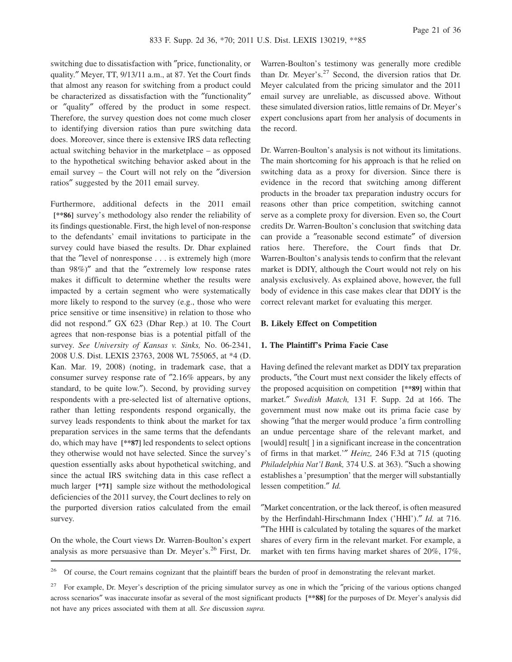switching due to dissatisfaction with ″price, functionality, or quality.″ Meyer, TT, 9/13/11 a.m., at 87. Yet the Court finds that almost any reason for switching from a product could be characterized as dissatisfaction with the ″functionality″ or ″quality″ offered by the product in some respect. Therefore, the survey question does not come much closer to identifying diversion ratios than pure switching data does. Moreover, since there is extensive IRS data reflecting actual switching behavior in the marketplace – as opposed to the hypothetical switching behavior asked about in the email survey – the Court will not rely on the ″diversion ratios″ suggested by the 2011 email survey.

Furthermore, additional defects in the 2011 email **[\*\*86]** survey's methodology also render the reliability of its findings questionable. First, the high level of non-response to the defendants' email invitations to participate in the survey could have biased the results. Dr. Dhar explained that the ″level of nonresponse . . . is extremely high (more than 98%)″ and that the ″extremely low response rates makes it difficult to determine whether the results were impacted by a certain segment who were systematically more likely to respond to the survey (e.g., those who were price sensitive or time insensitive) in relation to those who did not respond.″ GX 623 (Dhar Rep.) at 10. The Court agrees that non-response bias is a potential pitfall of the survey. *See University of Kansas v. Sinks,* No. 06-2341, 2008 U.S. Dist. LEXIS 23763, 2008 WL 755065, at \*4 (D. Kan. Mar. 19, 2008) (noting, in trademark case, that a consumer survey response rate of ″2.16% appears, by any standard, to be quite low.″). Second, by providing survey respondents with a pre-selected list of alternative options, rather than letting respondents respond organically, the survey leads respondents to think about the market for tax preparation services in the same terms that the defendants do, which may have **[\*\*87]** led respondents to select options they otherwise would not have selected. Since the survey's question essentially asks about hypothetical switching, and since the actual IRS switching data in this case reflect a much larger **[\*71]** sample size without the methodological deficiencies of the 2011 survey, the Court declines to rely on the purported diversion ratios calculated from the email survey.

On the whole, the Court views Dr. Warren-Boulton's expert analysis as more persuasive than Dr. Meyer's.<sup>26</sup> First, Dr.

Warren-Boulton's testimony was generally more credible than Dr. Meyer's. $27$  Second, the diversion ratios that Dr. Meyer calculated from the pricing simulator and the 2011 email survey are unreliable, as discussed above. Without these simulated diversion ratios, little remains of Dr. Meyer's expert conclusions apart from her analysis of documents in the record.

Dr. Warren-Boulton's analysis is not without its limitations. The main shortcoming for his approach is that he relied on switching data as a proxy for diversion. Since there is evidence in the record that switching among different products in the broader tax preparation industry occurs for reasons other than price competition, switching cannot serve as a complete proxy for diversion. Even so, the Court credits Dr. Warren-Boulton's conclusion that switching data can provide a ″reasonable second estimate″ of diversion ratios here. Therefore, the Court finds that Dr. Warren-Boulton's analysis tends to confirm that the relevant market is DDIY, although the Court would not rely on his analysis exclusively. As explained above, however, the full body of evidence in this case makes clear that DDIY is the correct relevant market for evaluating this merger.

#### **B. Likely Effect on Competition**

# **1. The Plaintiff's Prima Facie Case**

Having defined the relevant market as DDIY tax preparation products, ″the Court must next consider the likely effects of the proposed acquisition on competition **[\*\*89]** within that market.″ *Swedish Match,* 131 F. Supp. 2d at 166. The government must now make out its prima facie case by showing ″that the merger would produce 'a firm controlling an undue percentage share of the relevant market, and [would] result[ ] in a significant increase in the concentration of firms in that market.'″ *Heinz,* 246 F.3d at 715 (quoting *Philadelphia Nat'l Bank,* 374 U.S. at 363). ″Such a showing establishes a 'presumption' that the merger will substantially lessen competition.″ *Id.*

″Market concentration, or the lack thereof, is often measured by the Herfindahl-Hirschmann Index ('HHI').″ *Id.* at 716. ″The HHI is calculated by totaling the squares of the market shares of every firm in the relevant market. For example, a market with ten firms having market shares of 20%, 17%,

<sup>26</sup> Of course, the Court remains cognizant that the plaintiff bears the burden of proof in demonstrating the relevant market.

<sup>27</sup> For example, Dr. Meyer's description of the pricing simulator survey as one in which the ″pricing of the various options changed across scenarios″ was inaccurate insofar as several of the most significant products **[\*\*88]** for the purposes of Dr. Meyer's analysis did not have any prices associated with them at all. *See* discussion *supra.*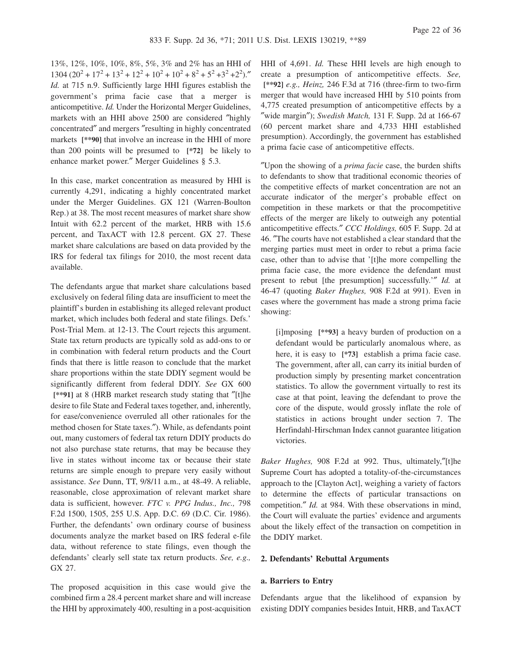13%, 12%, 10%, 10%, 8%, 5%, 3% and 2% has an HHI of  $1304 (20^2 + 17^2 + 13^2 + 12^2 + 10^2 + 10^2 + 8^2 + 5^2 + 3^2 + 2^2)$ ." *Id.* at 715 n.9. Sufficiently large HHI figures establish the government's prima facie case that a merger is anticompetitive. *Id.* Under the Horizontal Merger Guidelines, markets with an HHI above 2500 are considered ″highly concentrated″ and mergers ″resulting in highly concentrated markets **[\*\*90]** that involve an increase in the HHI of more than 200 points will be presumed to **[\*72]** be likely to enhance market power.″ Merger Guidelines § 5.3.

In this case, market concentration as measured by HHI is currently 4,291, indicating a highly concentrated market under the Merger Guidelines. GX 121 (Warren-Boulton Rep.) at 38. The most recent measures of market share show Intuit with 62.2 percent of the market, HRB with 15.6 percent, and TaxACT with 12.8 percent. GX 27. These market share calculations are based on data provided by the IRS for federal tax filings for 2010, the most recent data available.

The defendants argue that market share calculations based exclusively on federal filing data are insufficient to meet the plaintiff's burden in establishing its alleged relevant product market, which includes both federal and state filings. Defs.' Post-Trial Mem. at 12-13. The Court rejects this argument. State tax return products are typically sold as add-ons to or in combination with federal return products and the Court finds that there is little reason to conclude that the market share proportions within the state DDIY segment would be significantly different from federal DDIY. *See* GX 600 **[\*\*91]** at 8 (HRB market research study stating that ″[t]he desire to file State and Federal taxes together, and, inherently, for ease/convenience overruled all other rationales for the method chosen for State taxes.″). While, as defendants point out, many customers of federal tax return DDIY products do not also purchase state returns, that may be because they live in states without income tax or because their state returns are simple enough to prepare very easily without assistance. *See* Dunn, TT, 9/8/11 a.m., at 48-49. A reliable, reasonable, close approximation of relevant market share data is sufficient, however. *FTC v. PPG Indus., Inc.,* 798 F.2d 1500, 1505, 255 U.S. App. D.C. 69 (D.C. Cir. 1986). Further, the defendants' own ordinary course of business documents analyze the market based on IRS federal e-file data, without reference to state filings, even though the defendants' clearly sell state tax return products. *See, e.g.,* GX 27.

The proposed acquisition in this case would give the combined firm a 28.4 percent market share and will increase the HHI by approximately 400, resulting in a post-acquisition HHI of 4,691. *Id.* These HHI levels are high enough to create a presumption of anticompetitive effects. *See,* **[\*\*92]** *e.g., Heinz,* 246 F.3d at 716 (three-firm to two-firm merger that would have increased HHI by 510 points from 4,775 created presumption of anticompetitive effects by a ″wide margin″); *Swedish Match,* 131 F. Supp. 2d at 166-67 (60 percent market share and 4,733 HHI established presumption). Accordingly, the government has established a prima facie case of anticompetitive effects.

″Upon the showing of a *prima facie* case, the burden shifts to defendants to show that traditional economic theories of the competitive effects of market concentration are not an accurate indicator of the merger's probable effect on competition in these markets or that the procompetitive effects of the merger are likely to outweigh any potential anticompetitive effects.″ *CCC Holdings,* 605 F. Supp. 2d at 46. ″The courts have not established a clear standard that the merging parties must meet in order to rebut a prima facie case, other than to advise that '[t]he more compelling the prima facie case, the more evidence the defendant must present to rebut [the presumption] successfully.'″ *Id.* at 46-47 (quoting *Baker Hughes,* 908 F.2d at 991). Even in cases where the government has made a strong prima facie showing:

[i]mposing **[\*\*93]** a heavy burden of production on a defendant would be particularly anomalous where, as here, it is easy to **[\*73]** establish a prima facie case. The government, after all, can carry its initial burden of production simply by presenting market concentration statistics. To allow the government virtually to rest its case at that point, leaving the defendant to prove the core of the dispute, would grossly inflate the role of statistics in actions brought under section 7. The Herfindahl-Hirschman Index cannot guarantee litigation victories.

*Baker Hughes,* 908 F.2d at 992. Thus, ultimately,″[t]he Supreme Court has adopted a totality-of-the-circumstances approach to the [Clayton Act], weighing a variety of factors to determine the effects of particular transactions on competition.″ *Id.* at 984. With these observations in mind, the Court will evaluate the parties' evidence and arguments about the likely effect of the transaction on competition in the DDIY market.

### **2. Defendants' Rebuttal Arguments**

#### **a. Barriers to Entry**

Defendants argue that the likelihood of expansion by existing DDIY companies besides Intuit, HRB, and TaxACT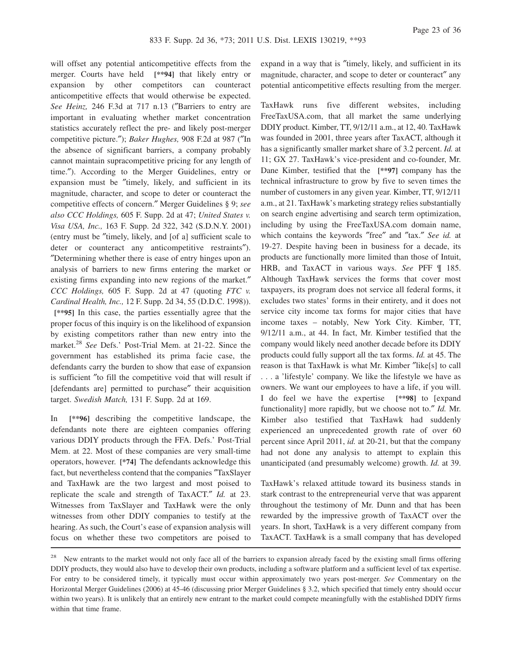will offset any potential anticompetitive effects from the merger. Courts have held **[\*\*94]** that likely entry or expansion by other competitors can counteract anticompetitive effects that would otherwise be expected. *See Heinz,* 246 F.3d at 717 n.13 (″Barriers to entry are important in evaluating whether market concentration statistics accurately reflect the pre- and likely post-merger competitive picture.″); *Baker Hughes,* 908 F.2d at 987 (″In the absence of significant barriers, a company probably cannot maintain supracompetitive pricing for any length of time.″). According to the Merger Guidelines, entry or expansion must be ″timely, likely, and sufficient in its magnitude, character, and scope to deter or counteract the competitive effects of concern.″ Merger Guidelines § 9; *see also CCC Holdings,* 605 F. Supp. 2d at 47; *United States v. Visa USA, Inc.,* 163 F. Supp. 2d 322, 342 (S.D.N.Y. 2001) (entry must be ″timely, likely, and [of a] sufficient scale to deter or counteract any anticompetitive restraints"). ″Determining whether there is ease of entry hinges upon an analysis of barriers to new firms entering the market or existing firms expanding into new regions of the market.″ *CCC Holdings,* 605 F. Supp. 2d at 47 (quoting *FTC v. Cardinal Health, Inc.,* 12 F. Supp. 2d 34, 55 (D.D.C. 1998)). **[\*\*95]** In this case, the parties essentially agree that the proper focus of this inquiry is on the likelihood of expansion by existing competitors rather than new entry into the market.<sup>28</sup> *See* Defs.' Post-Trial Mem. at 21-22. Since the government has established its prima facie case, the defendants carry the burden to show that ease of expansion is sufficient ″to fill the competitive void that will result if [defendants are] permitted to purchase" their acquisition target. *Swedish Match,* 131 F. Supp. 2d at 169.

In **[\*\*96]** describing the competitive landscape, the defendants note there are eighteen companies offering various DDIY products through the FFA. Defs.' Post-Trial Mem. at 22. Most of these companies are very small-time operators, however. **[\*74]** The defendants acknowledge this fact, but nevertheless contend that the companies ″TaxSlayer and TaxHawk are the two largest and most poised to replicate the scale and strength of TaxACT.″ *Id.* at 23. Witnesses from TaxSlayer and TaxHawk were the only witnesses from other DDIY companies to testify at the hearing. As such, the Court's ease of expansion analysis will focus on whether these two competitors are poised to

expand in a way that is ″timely, likely, and sufficient in its magnitude, character, and scope to deter or counteract″ any potential anticompetitive effects resulting from the merger.

TaxHawk runs five different websites, including FreeTaxUSA.com, that all market the same underlying DDIY product. Kimber, TT, 9/12/11 a.m., at 12, 40. TaxHawk was founded in 2001, three years after TaxACT, although it has a significantly smaller market share of 3.2 percent. *Id.* at 11; GX 27. TaxHawk's vice-president and co-founder, Mr. Dane Kimber, testified that the **[\*\*97]** company has the technical infrastructure to grow by five to seven times the number of customers in any given year. Kimber, TT, 9/12/11 a.m., at 21. TaxHawk's marketing strategy relies substantially on search engine advertising and search term optimization, including by using the FreeTaxUSA.com domain name, which contains the keywords ″free″ and ″tax.″ *See id.* at 19-27. Despite having been in business for a decade, its products are functionally more limited than those of Intuit, HRB, and TaxACT in various ways. *See* PFF ¶ 185. Although TaxHawk services the forms that cover most taxpayers, its program does not service all federal forms, it excludes two states' forms in their entirety, and it does not service city income tax forms for major cities that have income taxes – notably, New York City. Kimber, TT, 9/12/11 a.m., at 44. In fact, Mr. Kimber testified that the company would likely need another decade before its DDIY products could fully support all the tax forms. *Id.* at 45. The reason is that TaxHawk is what Mr. Kimber ″like[s] to call . . . a 'lifestyle' company. We like the lifestyle we have as owners. We want our employees to have a life, if you will. I do feel we have the expertise **[\*\*98]** to [expand functionality] more rapidly, but we choose not to.″ *Id.* Mr. Kimber also testified that TaxHawk had suddenly experienced an unprecedented growth rate of over 60 percent since April 2011, *id.* at 20-21, but that the company had not done any analysis to attempt to explain this unanticipated (and presumably welcome) growth. *Id.* at 39.

TaxHawk's relaxed attitude toward its business stands in stark contrast to the entrepreneurial verve that was apparent throughout the testimony of Mr. Dunn and that has been rewarded by the impressive growth of TaxACT over the years. In short, TaxHawk is a very different company from TaxACT. TaxHawk is a small company that has developed

<sup>&</sup>lt;sup>28</sup> New entrants to the market would not only face all of the barriers to expansion already faced by the existing small firms offering DDIY products, they would also have to develop their own products, including a software platform and a sufficient level of tax expertise. For entry to be considered timely, it typically must occur within approximately two years post-merger. *See* Commentary on the Horizontal Merger Guidelines (2006) at 45-46 (discussing prior Merger Guidelines § 3.2, which specified that timely entry should occur within two years). It is unlikely that an entirely new entrant to the market could compete meaningfully with the established DDIY firms within that time frame.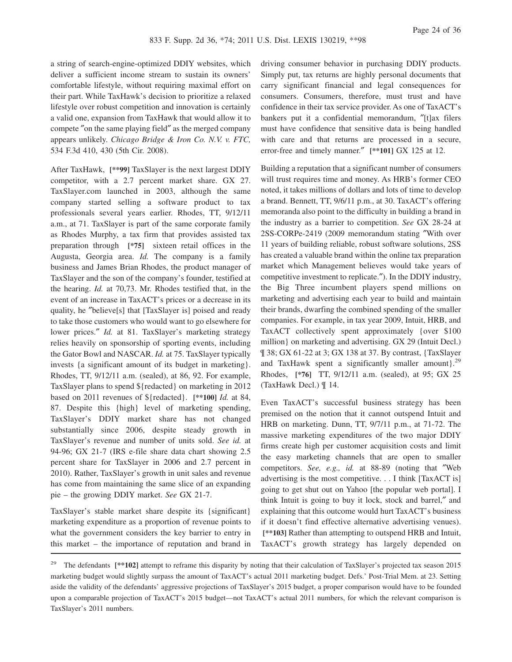a string of search-engine-optimized DDIY websites, which deliver a sufficient income stream to sustain its owners' comfortable lifestyle, without requiring maximal effort on their part. While TaxHawk's decision to prioritize a relaxed lifestyle over robust competition and innovation is certainly a valid one, expansion from TaxHawk that would allow it to compete ″on the same playing field″ as the merged company appears unlikely. *Chicago Bridge & Iron Co. N.V. v. FTC,* 534 F.3d 410, 430 (5th Cir. 2008).

After TaxHawk, **[\*\*99]** TaxSlayer is the next largest DDIY competitor, with a 2.7 percent market share. GX 27. TaxSlayer.com launched in 2003, although the same company started selling a software product to tax professionals several years earlier. Rhodes, TT, 9/12/11 a.m., at 71. TaxSlayer is part of the same corporate family as Rhodes Murphy, a tax firm that provides assisted tax preparation through **[\*75]** sixteen retail offices in the Augusta, Georgia area. *Id.* The company is a family business and James Brian Rhodes, the product manager of TaxSlayer and the son of the company's founder, testified at the hearing. *Id.* at 70,73. Mr. Rhodes testified that, in the event of an increase in TaxACT's prices or a decrease in its quality, he ″believe[s] that [TaxSlayer is] poised and ready to take those customers who would want to go elsewhere for lower prices." *Id.* at 81. TaxSlayer's marketing strategy relies heavily on sponsorship of sporting events, including the Gator Bowl and NASCAR. *Id.* at 75. TaxSlayer typically invests {a significant amount of its budget in marketing}. Rhodes, TT, 9/12/11 a.m. (sealed), at 86, 92. For example, TaxSlayer plans to spend \${redacted} on marketing in 2012 based on 2011 revenues of \${redacted}. **[\*\*100]** *Id.* at 84, 87. Despite this {high} level of marketing spending, TaxSlayer's DDIY market share has not changed substantially since 2006, despite steady growth in TaxSlayer's revenue and number of units sold. *See id.* at 94-96; GX 21-7 (IRS e-file share data chart showing 2.5 percent share for TaxSlayer in 2006 and 2.7 percent in 2010). Rather, TaxSlayer's growth in unit sales and revenue has come from maintaining the same slice of an expanding pie – the growing DDIY market. *See* GX 21-7.

TaxSlayer's stable market share despite its {significant} marketing expenditure as a proportion of revenue points to what the government considers the key barrier to entry in this market – the importance of reputation and brand in driving consumer behavior in purchasing DDIY products. Simply put, tax returns are highly personal documents that carry significant financial and legal consequences for consumers. Consumers, therefore, must trust and have confidence in their tax service provider. As one of TaxACT's bankers put it a confidential memorandum, ″[t]ax filers must have confidence that sensitive data is being handled with care and that returns are processed in a secure, error-free and timely manner.″ **[\*\*101]** GX 125 at 12.

Building a reputation that a significant number of consumers will trust requires time and money. As HRB's former CEO noted, it takes millions of dollars and lots of time to develop a brand. Bennett, TT, 9/6/11 p.m., at 30. TaxACT's offering memoranda also point to the difficulty in building a brand in the industry as a barrier to competition. *See* GX 28-24 at 2SS-CORPe-2419 (2009 memorandum stating ″With over 11 years of building reliable, robust software solutions, 2SS has created a valuable brand within the online tax preparation market which Management believes would take years of competitive investment to replicate.″). In the DDIY industry, the Big Three incumbent players spend millions on marketing and advertising each year to build and maintain their brands, dwarfing the combined spending of the smaller companies. For example, in tax year 2009, Intuit, HRB, and TaxACT collectively spent approximately {over \$100 million} on marketing and advertising. GX 29 (Intuit Decl.) ¶ 38; GX 61-22 at 3; GX 138 at 37. By contrast, {TaxSlayer and TaxHawk spent a significantly smaller amount}.<sup>29</sup> Rhodes, **[\*76]** TT, 9/12/11 a.m. (sealed), at 95; GX 25 (TaxHawk Decl.) ¶ 14.

Even TaxACT's successful business strategy has been premised on the notion that it cannot outspend Intuit and HRB on marketing. Dunn, TT, 9/7/11 p.m., at 71-72. The massive marketing expenditures of the two major DDIY firms create high per customer acquisition costs and limit the easy marketing channels that are open to smaller competitors. *See, e.g., id.* at 88-89 (noting that ″Web advertising is the most competitive. . . I think [TaxACT is] going to get shut out on Yahoo [the popular web portal]. I think Intuit is going to buy it lock, stock and barrel,″ and explaining that this outcome would hurt TaxACT's business if it doesn't find effective alternative advertising venues). **[\*\*103]** Rather than attempting to outspend HRB and Intuit, TaxACT's growth strategy has largely depended on

The defendants  $[**102]$  attempt to reframe this disparity by noting that their calculation of TaxSlayer's projected tax season 2015 marketing budget would slightly surpass the amount of TaxACT's actual 2011 marketing budget. Defs.' Post-Trial Mem. at 23. Setting aside the validity of the defendants' aggressive projections of TaxSlayer's 2015 budget, a proper comparison would have to be founded upon a comparable projection of TaxACT's 2015 budget—not TaxACT's actual 2011 numbers, for which the relevant comparison is TaxSlayer's 2011 numbers.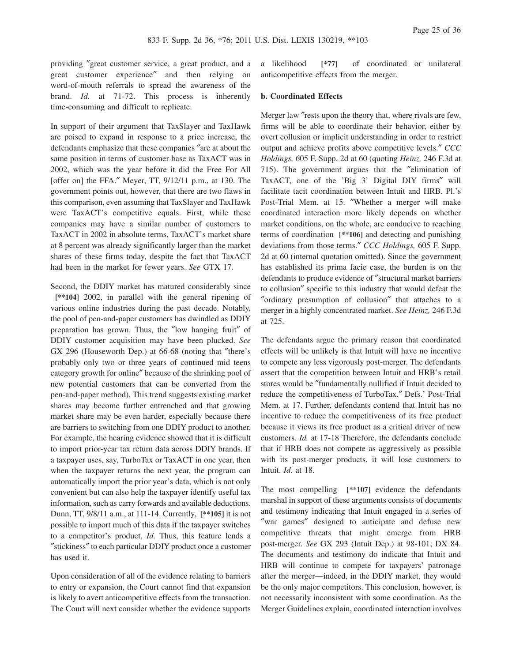providing ″great customer service, a great product, and a great customer experience″ and then relying on word-of-mouth referrals to spread the awareness of the brand. *Id.* at 71-72. This process is inherently time-consuming and difficult to replicate.

In support of their argument that TaxSlayer and TaxHawk are poised to expand in response to a price increase, the defendants emphasize that these companies ″are at about the same position in terms of customer base as TaxACT was in 2002, which was the year before it did the Free For All [offer on] the FFA.″ Meyer, TT, 9/12/11 p.m., at 130. The government points out, however, that there are two flaws in this comparison, even assuming that TaxSlayer and TaxHawk were TaxACT's competitive equals. First, while these companies may have a similar number of customers to TaxACT in 2002 in absolute terms, TaxACT's market share at 8 percent was already significantly larger than the market shares of these firms today, despite the fact that TaxACT had been in the market for fewer years. *See* GTX 17.

Second, the DDIY market has matured considerably since **[\*\*104]** 2002, in parallel with the general ripening of various online industries during the past decade. Notably, the pool of pen-and-paper customers has dwindled as DDIY preparation has grown. Thus, the ″low hanging fruit″ of DDIY customer acquisition may have been plucked. *See* GX 296 (Houseworth Dep.) at 66-68 (noting that ″there's probably only two or three years of continued mid teens category growth for online″ because of the shrinking pool of new potential customers that can be converted from the pen-and-paper method). This trend suggests existing market shares may become further entrenched and that growing market share may be even harder, especially because there are barriers to switching from one DDIY product to another. For example, the hearing evidence showed that it is difficult to import prior-year tax return data across DDIY brands. If a taxpayer uses, say, TurboTax or TaxACT in one year, then when the taxpayer returns the next year, the program can automatically import the prior year's data, which is not only convenient but can also help the taxpayer identify useful tax information, such as carry forwards and available deductions. Dunn, TT, 9/8/11 a.m., at 111-14. Currently, **[\*\*105]** it is not possible to import much of this data if the taxpayer switches to a competitor's product. *Id.* Thus, this feature lends a ″stickiness″ to each particular DDIY product once a customer has used it.

Upon consideration of all of the evidence relating to barriers to entry or expansion, the Court cannot find that expansion is likely to avert anticompetitive effects from the transaction. The Court will next consider whether the evidence supports

a likelihood **[\*77]** of coordinated or unilateral anticompetitive effects from the merger.

# **b. Coordinated Effects**

Merger law ″rests upon the theory that, where rivals are few, firms will be able to coordinate their behavior, either by overt collusion or implicit understanding in order to restrict output and achieve profits above competitive levels.″ *CCC Holdings,* 605 F. Supp. 2d at 60 (quoting *Heinz,* 246 F.3d at 715). The government argues that the ″elimination of TaxACT, one of the 'Big 3' Digital DIY firms″ will facilitate tacit coordination between Intuit and HRB. Pl.'s Post-Trial Mem. at 15. ″Whether a merger will make coordinated interaction more likely depends on whether market conditions, on the whole, are conducive to reaching terms of coordination **[\*\*106]** and detecting and punishing deviations from those terms.″ *CCC Holdings,* 605 F. Supp. 2d at 60 (internal quotation omitted). Since the government has established its prima facie case, the burden is on the defendants to produce evidence of ″structural market barriers to collusion″ specific to this industry that would defeat the ″ordinary presumption of collusion″ that attaches to a merger in a highly concentrated market. *See Heinz,* 246 F.3d at 725.

The defendants argue the primary reason that coordinated effects will be unlikely is that Intuit will have no incentive to compete any less vigorously post-merger. The defendants assert that the competition between Intuit and HRB's retail stores would be ″fundamentally nullified if Intuit decided to reduce the competitiveness of TurboTax.″ Defs.' Post-Trial Mem. at 17. Further, defendants contend that Intuit has no incentive to reduce the competitiveness of its free product because it views its free product as a critical driver of new customers. *Id.* at 17-18 Therefore, the defendants conclude that if HRB does not compete as aggressively as possible with its post-merger products, it will lose customers to Intuit. *Id.* at 18.

The most compelling **[\*\*107]** evidence the defendants marshal in support of these arguments consists of documents and testimony indicating that Intuit engaged in a series of ″war games″ designed to anticipate and defuse new competitive threats that might emerge from HRB post-merger. *See* GX 293 (Intuit Dep.) at 98-101; DX 84. The documents and testimony do indicate that Intuit and HRB will continue to compete for taxpayers' patronage after the merger—indeed, in the DDIY market, they would be the only major competitors. This conclusion, however, is not necessarily inconsistent with some coordination. As the Merger Guidelines explain, coordinated interaction involves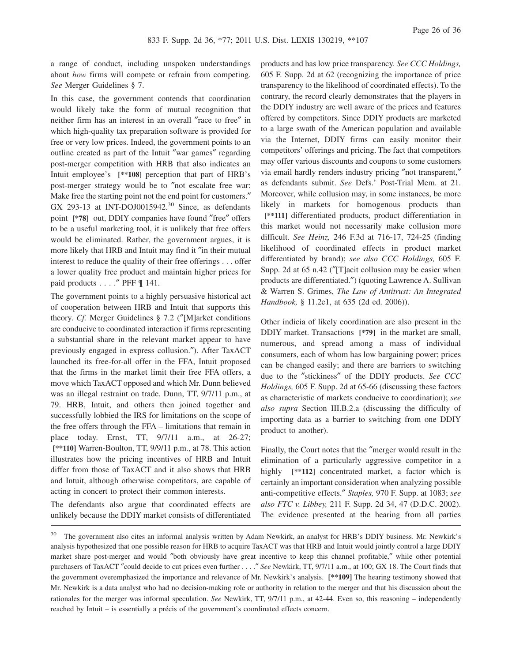a range of conduct, including unspoken understandings about *how* firms will compete or refrain from competing. *See* Merger Guidelines § 7.

In this case, the government contends that coordination would likely take the form of mutual recognition that neither firm has an interest in an overall ″race to free″ in which high-quality tax preparation software is provided for free or very low prices. Indeed, the government points to an outline created as part of the Intuit ″war games″ regarding post-merger competition with HRB that also indicates an Intuit employee's **[\*\*108]** perception that part of HRB's post-merger strategy would be to ″not escalate free war: Make free the starting point not the end point for customers." GX 293-13 at INT-DOJ0015942. $30$  Since, as defendants point **[\*78]** out, DDIY companies have found ″free″ offers to be a useful marketing tool, it is unlikely that free offers would be eliminated. Rather, the government argues, it is more likely that HRB and Intuit may find it "in their mutual interest to reduce the quality of their free offerings . . . offer a lower quality free product and maintain higher prices for paid products . . . . " PFF [ 141.

The government points to a highly persuasive historical act of cooperation between HRB and Intuit that supports this theory. *Cf.* Merger Guidelines § 7.2 (″[M]arket conditions are conducive to coordinated interaction if firms representing a substantial share in the relevant market appear to have previously engaged in express collusion.″). After TaxACT launched its free-for-all offer in the FFA, Intuit proposed that the firms in the market limit their free FFA offers, a move which TaxACT opposed and which Mr. Dunn believed was an illegal restraint on trade. Dunn, TT, 9/7/11 p.m., at 79. HRB, Intuit, and others then joined together and successfully lobbied the IRS for limitations on the scope of the free offers through the FFA – limitations that remain in place today. Ernst, TT, 9/7/11 a.m., at 26-27; **[\*\*110]** Warren-Boulton, TT, 9/9/11 p.m., at 78. This action illustrates how the pricing incentives of HRB and Intuit differ from those of TaxACT and it also shows that HRB and Intuit, although otherwise competitors, are capable of acting in concert to protect their common interests.

The defendants also argue that coordinated effects are unlikely because the DDIY market consists of differentiated products and has low price transparency. *See CCC Holdings,* 605 F. Supp. 2d at 62 (recognizing the importance of price transparency to the likelihood of coordinated effects). To the contrary, the record clearly demonstrates that the players in the DDIY industry are well aware of the prices and features offered by competitors. Since DDIY products are marketed to a large swath of the American population and available via the Internet, DDIY firms can easily monitor their competitors' offerings and pricing. The fact that competitors may offer various discounts and coupons to some customers via email hardly renders industry pricing ″not transparent,″ as defendants submit. *See* Defs.' Post-Trial Mem. at 21. Moreover, while collusion may, in some instances, be more likely in markets for homogenous products than **[\*\*111]** differentiated products, product differentiation in this market would not necessarily make collusion more difficult. *See Heinz,* 246 F.3d at 716-17, 724-25 (finding likelihood of coordinated effects in product market differentiated by brand); *see also CCC Holdings,* 605 F. Supp. 2d at 65 n.42 ("[T]acit collusion may be easier when products are differentiated.″) (quoting Lawrence A. Sullivan & Warren S. Grimes, *The Law of Antitrust: An Integrated Handbook,* § 11.2e1, at 635 (2d ed. 2006)).

Other indicia of likely coordination are also present in the DDIY market. Transactions **[\*79]** in the market are small, numerous, and spread among a mass of individual consumers, each of whom has low bargaining power; prices can be changed easily; and there are barriers to switching due to the ″stickiness″ of the DDIY products. *See CCC Holdings,* 605 F. Supp. 2d at 65-66 (discussing these factors as characteristic of markets conducive to coordination); *see also supra* Section III.B.2.a (discussing the difficulty of importing data as a barrier to switching from one DDIY product to another).

Finally, the Court notes that the ″merger would result in the elimination of a particularly aggressive competitor in a highly **[\*\*112]** concentrated market, a factor which is certainly an important consideration when analyzing possible anti-competitive effects.″ *Staples,* 970 F. Supp. at 1083; *see also FTC v. Libbey,* 211 F. Supp. 2d 34, 47 (D.D.C. 2002). The evidence presented at the hearing from all parties

<sup>&</sup>lt;sup>30</sup> The government also cites an informal analysis written by Adam Newkirk, an analyst for HRB's DDIY business. Mr. Newkirk's analysis hypothesized that one possible reason for HRB to acquire TaxACT was that HRB and Intuit would jointly control a large DDIY market share post-merger and would ″both obviously have great incentive to keep this channel profitable,″ while other potential purchasers of TaxACT ″could decide to cut prices even further . . . .″ *See* Newkirk, TT, 9/7/11 a.m., at 100; GX 18. The Court finds that the government overemphasized the importance and relevance of Mr. Newkirk's analysis. **[\*\*109]** The hearing testimony showed that Mr. Newkirk is a data analyst who had no decision-making role or authority in relation to the merger and that his discussion about the rationales for the merger was informal speculation. *See* Newkirk, TT, 9/7/11 p.m., at 42-44. Even so, this reasoning – independently reached by Intuit – is essentially a précis of the government's coordinated effects concern.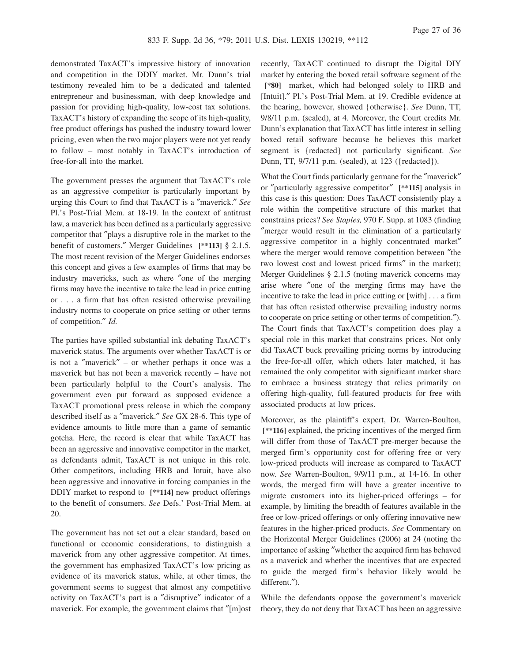demonstrated TaxACT's impressive history of innovation and competition in the DDIY market. Mr. Dunn's trial testimony revealed him to be a dedicated and talented entrepreneur and businessman, with deep knowledge and passion for providing high-quality, low-cost tax solutions. TaxACT's history of expanding the scope of its high-quality, free product offerings has pushed the industry toward lower pricing, even when the two major players were not yet ready to follow – most notably in TaxACT's introduction of free-for-all into the market.

The government presses the argument that TaxACT's role as an aggressive competitor is particularly important by urging this Court to find that TaxACT is a ″maverick.″ *See* Pl.'s Post-Trial Mem. at 18-19. In the context of antitrust law, a maverick has been defined as a particularly aggressive competitor that ″plays a disruptive role in the market to the benefit of customers.″ Merger Guidelines **[\*\*113]** § 2.1.5. The most recent revision of the Merger Guidelines endorses this concept and gives a few examples of firms that may be industry mavericks, such as where ″one of the merging firms may have the incentive to take the lead in price cutting or . . . a firm that has often resisted otherwise prevailing industry norms to cooperate on price setting or other terms of competition.″ *Id.*

The parties have spilled substantial ink debating TaxACT's maverick status. The arguments over whether TaxACT is or is not a ″maverick″ – or whether perhaps it once was a maverick but has not been a maverick recently – have not been particularly helpful to the Court's analysis. The government even put forward as supposed evidence a TaxACT promotional press release in which the company described itself as a ″maverick.″ *See* GX 28-6. This type of evidence amounts to little more than a game of semantic gotcha. Here, the record is clear that while TaxACT has been an aggressive and innovative competitor in the market, as defendants admit, TaxACT is not unique in this role. Other competitors, including HRB and Intuit, have also been aggressive and innovative in forcing companies in the DDIY market to respond to **[\*\*114]** new product offerings to the benefit of consumers. *See* Defs.' Post-Trial Mem. at 20.

The government has not set out a clear standard, based on functional or economic considerations, to distinguish a maverick from any other aggressive competitor. At times, the government has emphasized TaxACT's low pricing as evidence of its maverick status, while, at other times, the government seems to suggest that almost any competitive activity on TaxACT's part is a ″disruptive″ indicator of a maverick. For example, the government claims that ″[m]ost

recently, TaxACT continued to disrupt the Digital DIY market by entering the boxed retail software segment of the **[\*80]** market, which had belonged solely to HRB and [Intuit].″ Pl.'s Post-Trial Mem. at 19. Credible evidence at the hearing, however, showed {otherwise}. *See* Dunn, TT, 9/8/11 p.m. (sealed), at 4. Moreover, the Court credits Mr. Dunn's explanation that TaxACT has little interest in selling boxed retail software because he believes this market segment is {redacted} not particularly significant. *See* Dunn, TT, 9/7/11 p.m. (sealed), at 123 ({redacted}).

What the Court finds particularly germane for the ″maverick″ or ″particularly aggressive competitor″ **[\*\*115]** analysis in this case is this question: Does TaxACT consistently play a role within the competitive structure of this market that constrains prices? *See Staples,* 970 F. Supp. at 1083 (finding ″merger would result in the elimination of a particularly aggressive competitor in a highly concentrated market″ where the merger would remove competition between "the two lowest cost and lowest priced firms″ in the market); Merger Guidelines § 2.1.5 (noting maverick concerns may arise where ″one of the merging firms may have the incentive to take the lead in price cutting or [with] . . . a firm that has often resisted otherwise prevailing industry norms to cooperate on price setting or other terms of competition.″). The Court finds that TaxACT's competition does play a special role in this market that constrains prices. Not only did TaxACT buck prevailing pricing norms by introducing the free-for-all offer, which others later matched, it has remained the only competitor with significant market share to embrace a business strategy that relies primarily on offering high-quality, full-featured products for free with associated products at low prices.

Moreover, as the plaintiff's expert, Dr. Warren-Boulton, **[\*\*116]** explained, the pricing incentives of the merged firm will differ from those of TaxACT pre-merger because the merged firm's opportunity cost for offering free or very low-priced products will increase as compared to TaxACT now. *See* Warren-Boulton, 9/9/11 p.m., at 14-16. In other words, the merged firm will have a greater incentive to migrate customers into its higher-priced offerings – for example, by limiting the breadth of features available in the free or low-priced offerings or only offering innovative new features in the higher-priced products. *See* Commentary on the Horizontal Merger Guidelines (2006) at 24 (noting the importance of asking ″whether the acquired firm has behaved as a maverick and whether the incentives that are expected to guide the merged firm's behavior likely would be different.″).

While the defendants oppose the government's maverick theory, they do not deny that TaxACT has been an aggressive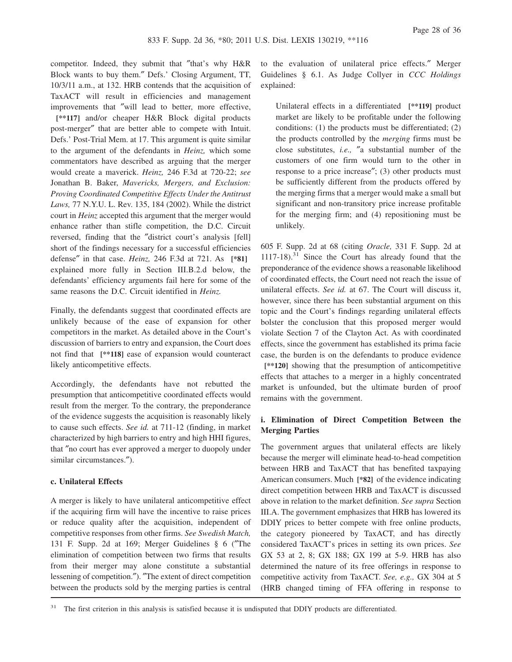competitor. Indeed, they submit that "that's why H&R Block wants to buy them.″ Defs.' Closing Argument, TT, 10/3/11 a.m., at 132. HRB contends that the acquisition of TaxACT will result in efficiencies and management improvements that ″will lead to better, more effective,

**[\*\*117]** and/or cheaper H&R Block digital products post-merger″ that are better able to compete with Intuit. Defs.' Post-Trial Mem. at 17. This argument is quite similar to the argument of the defendants in *Heinz,* which some commentators have described as arguing that the merger would create a maverick. *Heinz,* 246 F.3d at 720-22; *see* Jonathan B. Baker, *Mavericks, Mergers, and Exclusion: Proving Coordinated Competitive Effects Under the Antitrust Laws,* 77 N.Y.U. L. Rev. 135, 184 (2002). While the district court in *Heinz* accepted this argument that the merger would enhance rather than stifle competition, the D.C. Circuit reversed, finding that the ″district court's analysis [fell] short of the findings necessary for a successful efficiencies defense″ in that case. *Heinz,* 246 F.3d at 721. As **[\*81]** explained more fully in Section III.B.2.d below, the defendants' efficiency arguments fail here for some of the same reasons the D.C. Circuit identified in *Heinz.*

Finally, the defendants suggest that coordinated effects are unlikely because of the ease of expansion for other competitors in the market. As detailed above in the Court's discussion of barriers to entry and expansion, the Court does not find that **[\*\*118]** ease of expansion would counteract likely anticompetitive effects.

Accordingly, the defendants have not rebutted the presumption that anticompetitive coordinated effects would result from the merger. To the contrary, the preponderance of the evidence suggests the acquisition is reasonably likely to cause such effects. *See id.* at 711-12 (finding, in market characterized by high barriers to entry and high HHI figures, that ″no court has ever approved a merger to duopoly under similar circumstances.″).

# **c. Unilateral Effects**

A merger is likely to have unilateral anticompetitive effect if the acquiring firm will have the incentive to raise prices or reduce quality after the acquisition, independent of competitive responses from other firms. *See Swedish Match,* 131 F. Supp. 2d at 169; Merger Guidelines § 6 (″The elimination of competition between two firms that results from their merger may alone constitute a substantial lessening of competition.″). ″The extent of direct competition between the products sold by the merging parties is central

to the evaluation of unilateral price effects.″ Merger Guidelines § 6.1. As Judge Collyer in *CCC Holdings* explained:

Unilateral effects in a differentiated **[\*\*119]** product market are likely to be profitable under the following conditions: (1) the products must be differentiated; (2) the products controlled by the *merging* firms must be close substitutes, *i.e.,* ″a substantial number of the customers of one firm would turn to the other in response to a price increase″; (3) other products must be sufficiently different from the products offered by the merging firms that a merger would make a small but significant and non-transitory price increase profitable for the merging firm; and (4) repositioning must be unlikely.

605 F. Supp. 2d at 68 (citing *Oracle,* 331 F. Supp. 2d at 1117-18).<sup>31</sup> Since the Court has already found that the preponderance of the evidence shows a reasonable likelihood of coordinated effects, the Court need not reach the issue of unilateral effects. *See id.* at 67. The Court will discuss it, however, since there has been substantial argument on this topic and the Court's findings regarding unilateral effects bolster the conclusion that this proposed merger would violate Section 7 of the Clayton Act. As with coordinated effects, since the government has established its prima facie case, the burden is on the defendants to produce evidence **[\*\*120]** showing that the presumption of anticompetitive effects that attaches to a merger in a highly concentrated market is unfounded, but the ultimate burden of proof remains with the government.

# **i. Elimination of Direct Competition Between the Merging Parties**

The government argues that unilateral effects are likely because the merger will eliminate head-to-head competition between HRB and TaxACT that has benefited taxpaying American consumers. Much **[\*82]** of the evidence indicating direct competition between HRB and TaxACT is discussed above in relation to the market definition. *See supra* Section III.A. The government emphasizes that HRB has lowered its DDIY prices to better compete with free online products, the category pioneered by TaxACT, and has directly considered TaxACT's prices in setting its own prices. *See* GX 53 at 2, 8; GX 188; GX 199 at 5-9. HRB has also determined the nature of its free offerings in response to competitive activity from TaxACT. *See, e.g.,* GX 304 at 5 (HRB changed timing of FFA offering in response to

<sup>31</sup> The first criterion in this analysis is satisfied because it is undisputed that DDIY products are differentiated.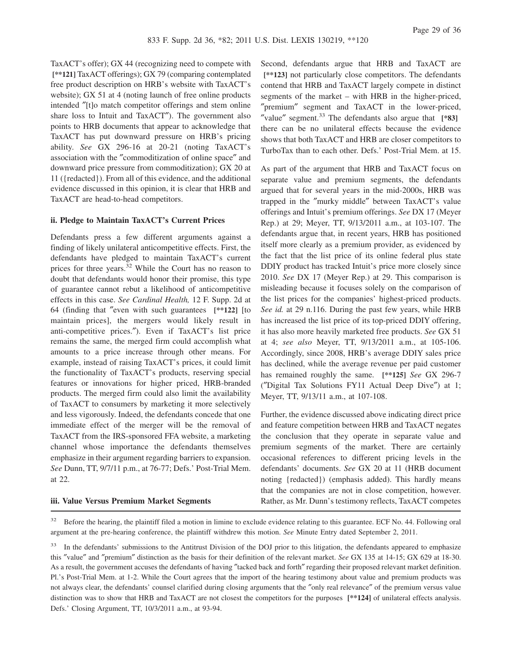TaxACT's offer); GX 44 (recognizing need to compete with **[\*\*121]** TaxACT offerings); GX 79 (comparing contemplated free product description on HRB's website with TaxACT's website); GX 51 at 4 (noting launch of free online products intended ″[t]o match competitor offerings and stem online share loss to Intuit and TaxACT″). The government also points to HRB documents that appear to acknowledge that TaxACT has put downward pressure on HRB's pricing ability. *See* GX 296-16 at 20-21 (noting TaxACT's association with the ″commoditization of online space″ and downward price pressure from commoditization); GX 20 at 11 ({redacted}). From all of this evidence, and the additional evidence discussed in this opinion, it is clear that HRB and TaxACT are head-to-head competitors.

#### **ii. Pledge to Maintain TaxACT's Current Prices**

Defendants press a few different arguments against a finding of likely unilateral anticompetitive effects. First, the defendants have pledged to maintain TaxACT's current prices for three years.<sup>32</sup> While the Court has no reason to doubt that defendants would honor their promise, this type of guarantee cannot rebut a likelihood of anticompetitive effects in this case. *See Cardinal Health,* 12 F. Supp. 2d at 64 (finding that ″even with such guarantees **[\*\*122]** [to maintain prices], the mergers would likely result in anti-competitive prices.″). Even if TaxACT's list price remains the same, the merged firm could accomplish what amounts to a price increase through other means. For example, instead of raising TaxACT's prices, it could limit the functionality of TaxACT's products, reserving special features or innovations for higher priced, HRB-branded products. The merged firm could also limit the availability of TaxACT to consumers by marketing it more selectively and less vigorously. Indeed, the defendants concede that one immediate effect of the merger will be the removal of TaxACT from the IRS-sponsored FFA website, a marketing channel whose importance the defendants themselves emphasize in their argument regarding barriers to expansion. *See* Dunn, TT, 9/7/11 p.m., at 76-77; Defs.' Post-Trial Mem. at 22.

#### **iii. Value Versus Premium Market Segments**

Second, defendants argue that HRB and TaxACT are **[\*\*123]** not particularly close competitors. The defendants contend that HRB and TaxACT largely compete in distinct segments of the market – with HRB in the higher-priced, ″premium″ segment and TaxACT in the lower-priced,  $\text{"value"}$  segment.<sup>33</sup> The defendants also argue that  $[$ \*83] there can be no unilateral effects because the evidence shows that both TaxACT and HRB are closer competitors to TurboTax than to each other. Defs.' Post-Trial Mem. at 15.

As part of the argument that HRB and TaxACT focus on separate value and premium segments, the defendants argued that for several years in the mid-2000s, HRB was trapped in the ″murky middle″ between TaxACT's value offerings and Intuit's premium offerings. *See* DX 17 (Meyer Rep.) at 29; Meyer, TT, 9/13/2011 a.m., at 103-107. The defendants argue that, in recent years, HRB has positioned itself more clearly as a premium provider, as evidenced by the fact that the list price of its online federal plus state DDIY product has tracked Intuit's price more closely since 2010. *See* DX 17 (Meyer Rep.) at 29. This comparison is misleading because it focuses solely on the comparison of the list prices for the companies' highest-priced products. *See id.* at 29 n.116. During the past few years, while HRB has increased the list price of its top-priced DDIY offering, it has also more heavily marketed free products. *See* GX 51 at 4; *see also* Meyer, TT, 9/13/2011 a.m., at 105-106. Accordingly, since 2008, HRB's average DDIY sales price has declined, while the average revenue per paid customer has remained roughly the same. **[\*\*125]** *See* GX 296-7 (″Digital Tax Solutions FY11 Actual Deep Dive″) at 1; Meyer, TT, 9/13/11 a.m., at 107-108.

Further, the evidence discussed above indicating direct price and feature competition between HRB and TaxACT negates the conclusion that they operate in separate value and premium segments of the market. There are certainly occasional references to different pricing levels in the defendants' documents. *See* GX 20 at 11 (HRB document noting {redacted}) (emphasis added). This hardly means that the companies are not in close competition, however. Rather, as Mr. Dunn's testimony reflects, TaxACT competes

 $32$  Before the hearing, the plaintiff filed a motion in limine to exclude evidence relating to this guarantee. ECF No. 44. Following oral argument at the pre-hearing conference, the plaintiff withdrew this motion. *See* Minute Entry dated September 2, 2011.

<sup>33</sup> In the defendants' submissions to the Antitrust Division of the DOJ prior to this litigation, the defendants appeared to emphasize this ″value″ and ″premium″ distinction as the basis for their definition of the relevant market. *See* GX 135 at 14-15; GX 629 at 18-30. As a result, the government accuses the defendants of having ″tacked back and forth″ regarding their proposed relevant market definition. Pl.'s Post-Trial Mem. at 1-2. While the Court agrees that the import of the hearing testimony about value and premium products was not always clear, the defendants' counsel clarified during closing arguments that the ″only real relevance″ of the premium versus value distinction was to show that HRB and TaxACT are not closest the competitors for the purposes **[\*\*124]** of unilateral effects analysis. Defs.' Closing Argument, TT, 10/3/2011 a.m., at 93-94.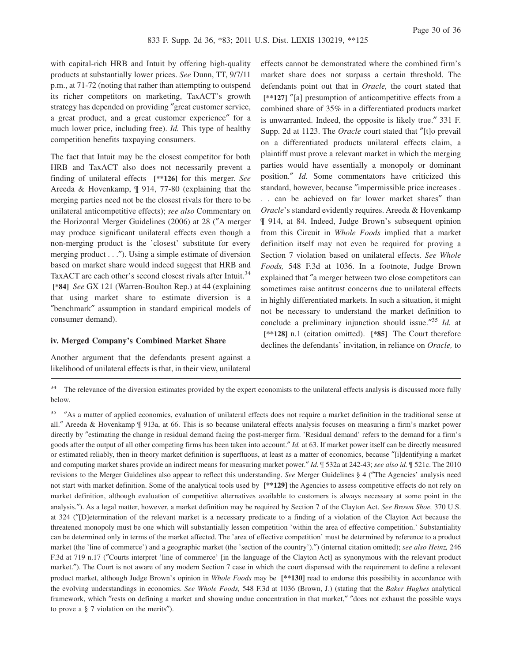with capital-rich HRB and Intuit by offering high-quality products at substantially lower prices. *See* Dunn, TT, 9/7/11 p.m., at 71-72 (noting that rather than attempting to outspend its richer competitors on marketing, TaxACT's growth strategy has depended on providing ″great customer service, a great product, and a great customer experience″ for a much lower price, including free). *Id.* This type of healthy competition benefits taxpaying consumers.

The fact that Intuit may be the closest competitor for both HRB and TaxACT also does not necessarily prevent a finding of unilateral effects **[\*\*126]** for this merger. *See* Areeda & Hovenkamp, ¶ 914, 77-80 (explaining that the merging parties need not be the closest rivals for there to be unilateral anticompetitive effects); *see also* Commentary on the Horizontal Merger Guidelines (2006) at 28 (″A merger may produce significant unilateral effects even though a non-merging product is the 'closest' substitute for every merging product . . ."). Using a simple estimate of diversion based on market share would indeed suggest that HRB and TaxACT are each other's second closest rivals after Intuit.<sup>34</sup> **[\*84]** *See* GX 121 (Warren-Boulton Rep.) at 44 (explaining that using market share to estimate diversion is a ″benchmark″ assumption in standard empirical models of consumer demand).

### **iv. Merged Company's Combined Market Share**

Another argument that the defendants present against a likelihood of unilateral effects is that, in their view, unilateral

effects cannot be demonstrated where the combined firm's market share does not surpass a certain threshold. The defendants point out that in *Oracle,* the court stated that **[\*\*127]** ″[a] presumption of anticompetitive effects from a combined share of 35% in a differentiated products market is unwarranted. Indeed, the opposite is likely true.″ 331 F. Supp. 2d at 1123. The *Oracle* court stated that ″[t]o prevail on a differentiated products unilateral effects claim, a plaintiff must prove a relevant market in which the merging parties would have essentially a monopoly or dominant position.″ *Id.* Some commentators have criticized this standard, however, because ″impermissible price increases . . . can be achieved on far lower market shares″ than *Oracle*'s standard evidently requires. Areeda & Hovenkamp ¶ 914, at 84. Indeed, Judge Brown's subsequent opinion from this Circuit in *Whole Foods* implied that a market definition itself may not even be required for proving a Section 7 violation based on unilateral effects. *See Whole Foods,* 548 F.3d at 1036. In a footnote, Judge Brown explained that ″a merger between two close competitors can sometimes raise antitrust concerns due to unilateral effects in highly differentiated markets. In such a situation, it might not be necessary to understand the market definition to conclude a preliminary injunction should issue.″ <sup>35</sup> *Id.* at **[\*\*128]** n.1 (citation omitted). **[\*85]** The Court therefore declines the defendants' invitation, in reliance on *Oracle,* to

<sup>34</sup> The relevance of the diversion estimates provided by the expert economists to the unilateral effects analysis is discussed more fully below.

<sup>35</sup> "As a matter of applied economics, evaluation of unilateral effects does not require a market definition in the traditional sense at all.″ Areeda & Hovenkamp ¶ 913a, at 66. This is so because unilateral effects analysis focuses on measuring a firm's market power directly by ″estimating the change in residual demand facing the post-merger firm. 'Residual demand' refers to the demand for a firm's goods after the output of all other competing firms has been taken into account.″ *Id.* at 63. If market power itself can be directly measured or estimated reliably, then in theory market definition is superfluous, at least as a matter of economics, because ″[i]dentifying a market and computing market shares provide an indirect means for measuring market power.″ *Id.* ¶ 532a at 242-43; *see also id.* ¶ 521c. The 2010 revisions to the Merger Guidelines also appear to reflect this understanding. *See* Merger Guidelines § 4 (″The Agencies' analysis need not start with market definition. Some of the analytical tools used by **[\*\*129]** the Agencies to assess competitive effects do not rely on market definition, although evaluation of competitive alternatives available to customers is always necessary at some point in the analysis.″). As a legal matter, however, a market definition may be required by Section 7 of the Clayton Act. *See Brown Shoe,* 370 U.S. at 324 (″[D]etermination of the relevant market is a necessary predicate to a finding of a violation of the Clayton Act because the threatened monopoly must be one which will substantially lessen competition 'within the area of effective competition.' Substantiality can be determined only in terms of the market affected. The 'area of effective competition' must be determined by reference to a product market (the 'line of commerce') and a geographic market (the 'section of the country').″) (internal citation omitted); *see also Heinz,* 246 F.3d at 719 n.17 (″Courts interpret 'line of commerce' [in the language of the Clayton Act] as synonymous with the relevant product market.″). The Court is not aware of any modern Section 7 case in which the court dispensed with the requirement to define a relevant product market, although Judge Brown's opinion in *Whole Foods* may be **[\*\*130]** read to endorse this possibility in accordance with the evolving understandings in economics. *See Whole Foods,* 548 F.3d at 1036 (Brown, J.) (stating that the *Baker Hughes* analytical framework, which ″rests on defining a market and showing undue concentration in that market,″ ″does not exhaust the possible ways to prove a § 7 violation on the merits″).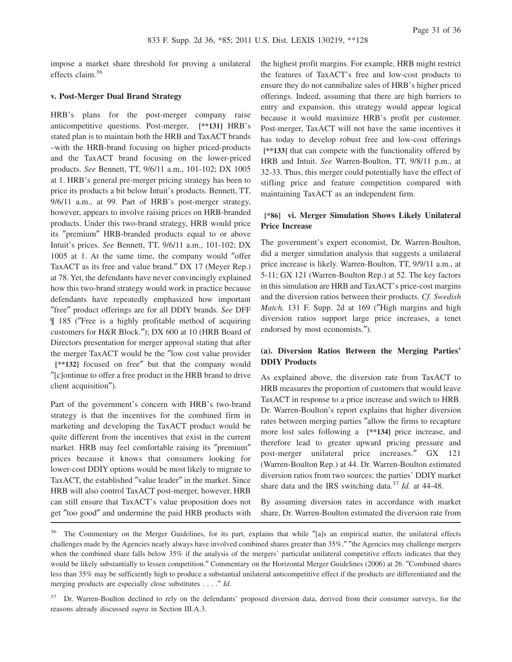impose a market share threshold for proving a unilateral effects claim.<sup>36</sup>

#### **v. Post-Merger Dual Brand Strategy**

HRB's plans for the post-merger company raise anticompetitive questions. Post-merger, **[\*\*131]** HRB's stated plan is to maintain both the HRB and TaxACT brands –with the HRB-brand focusing on higher priced-products and the TaxACT brand focusing on the lower-priced products. *See* Bennett, TT, 9/6/11 a.m., 101-102; DX 1005 at 1. HRB's general pre-merger pricing strategy has been to price its products a bit below Intuit's products. Bennett, TT, 9/6/11 a.m., at 99. Part of HRB's post-merger strategy, however, appears to involve raising prices on HRB-branded products. Under this two-brand strategy, HRB would price its ″premium″ HRB-branded products equal to or above Intuit's prices. *See* Bennett, TT, 9/6/11 a.m., 101-102; DX 1005 at 1. At the same time, the company would ″offer TaxACT as its free and value brand.″ DX 17 (Meyer Rep.) at 78. Yet, the defendants have never convincingly explained how this two-brand strategy would work in practice because defendants have repeatedly emphasized how important ″free″ product offerings are for all DDIY brands. *See* DFF ¶ 185 (″Free is a highly profitable method of acquiring customers for H&R Block.″); DX 600 at 10 (HRB Board of Directors presentation for merger approval stating that after the merger TaxACT would be the ″low cost value provider **[\*\*132]** focused on free″ but that the company would ″[c]ontinue to offer a free product in the HRB brand to drive client acquisition″).

Part of the government's concern with HRB's two-brand strategy is that the incentives for the combined firm in marketing and developing the TaxACT product would be quite different from the incentives that exist in the current market. HRB may feel comfortable raising its ″premium″ prices because it knows that consumers looking for lower-cost DDIY options would be most likely to migrate to TaxACT, the established ″value leader″ in the market. Since HRB will also control TaxACT post-merger, however, HRB can still ensure that TaxACT's value proposition does not get ″too good″ and undermine the paid HRB products with

the highest profit margins. For example, HRB might restrict the features of TaxACT's free and low-cost products to ensure they do not cannibalize sales of HRB's higher priced offerings. Indeed, assuming that there are high barriers to entry and expansion, this strategy would appear logical because it would maximize HRB's profit per customer. Post-merger, TaxACT will not have the same incentives it has today to develop robust free and low-cost offerings **[\*\*133]** that can compete with the functionality offered by HRB and Intuit. *See* Warren-Boulton, TT, 9/8/11 p.m., at 32-33. Thus, this merger could potentially have the effect of stifling price and feature competition compared with maintaining TaxACT as an independent firm.

# **[\*86] vi. Merger Simulation Shows Likely Unilateral Price Increase**

The government's expert economist, Dr. Warren-Boulton, did a merger simulation analysis that suggests a unilateral price increase is likely. Warren-Boulton, TT, 9/9/11 a.m., at 5-11; GX 121 (Warren-Boulton Rep.) at 52. The key factors in this simulation are HRB and TaxACT's price-cost margins and the diversion ratios between their products. *Cf. Swedish Match,* 131 F. Supp. 2d at 169 (″High margins and high diversion ratios support large price increases, a tenet endorsed by most economists.″).

# **(a). Diversion Ratios Between the Merging Parties' DDIY Products**

As explained above, the diversion rate from TaxACT to HRB measures the proportion of customers that would leave TaxACT in response to a price increase and switch to HRB. Dr. Warren-Boulton's report explains that higher diversion rates between merging parties ″allow the firms to recapture more lost sales following a **[\*\*134]** price increase, and therefore lead to greater upward pricing pressure and post-merger unilateral price increases.″ GX 121 (Warren-Boulton Rep.) at 44. Dr. Warren-Boulton estimated diversion ratios from two sources: the parties' DDIY market share data and the IRS switching data.<sup>37</sup> *Id.* at 44-48.

By assuming diversion rates in accordance with market share, Dr. Warren-Boulton estimated the diversion rate from

<sup>&</sup>lt;sup>36</sup> The Commentary on the Merger Guidelines, for its part, explains that while "[a]s an empirical matter, the unilateral effects challenges made by the Agencies nearly always have involved combined shares greater than 35%,″ ″the Agencies may challenge mergers when the combined share falls below 35% if the analysis of the mergers' particular unilateral competitive effects indicates that they would be likely substantially to lessen competition.″ Commentary on the Horizontal Merger Guidelines (2006) at 26. ″Combined shares less than 35% may be sufficiently high to produce a substantial unilateral anticompetitive effect if the products are differentiated and the merging products are especially close substitutes . . . .″ *Id.*

<sup>&</sup>lt;sup>37</sup> Dr. Warren-Boulton declined to rely on the defendants' proposed diversion data, derived from their consumer surveys, for the reasons already discussed *supra* in Section III.A.3.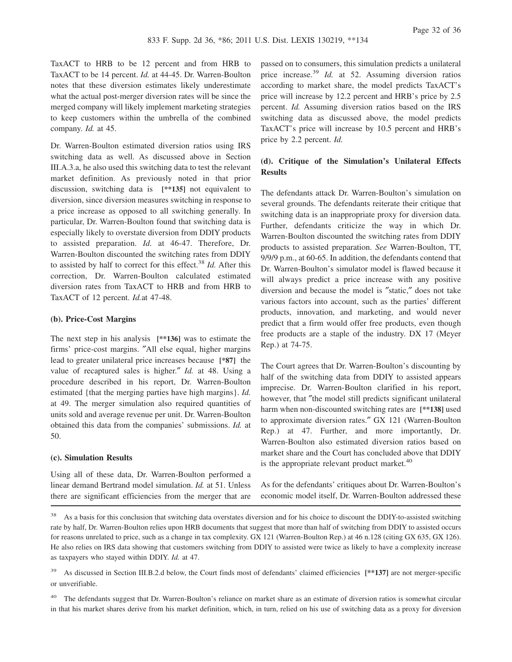TaxACT to HRB to be 12 percent and from HRB to TaxACT to be 14 percent. *Id.* at 44-45. Dr. Warren-Boulton notes that these diversion estimates likely underestimate what the actual post-merger diversion rates will be since the merged company will likely implement marketing strategies to keep customers within the umbrella of the combined company. *Id.* at 45.

Dr. Warren-Boulton estimated diversion ratios using IRS switching data as well. As discussed above in Section III.A.3.a, he also used this switching data to test the relevant market definition. As previously noted in that prior discussion, switching data is **[\*\*135]** not equivalent to diversion, since diversion measures switching in response to a price increase as opposed to all switching generally. In particular, Dr. Warren-Boulton found that switching data is especially likely to overstate diversion from DDIY products to assisted preparation. *Id.* at 46-47. Therefore, Dr. Warren-Boulton discounted the switching rates from DDIY to assisted by half to correct for this effect.<sup>38</sup> *Id.* After this correction, Dr. Warren-Boulton calculated estimated diversion rates from TaxACT to HRB and from HRB to TaxACT of 12 percent. *Id.*at 47-48.

#### **(b). Price-Cost Margins**

The next step in his analysis **[\*\*136]** was to estimate the firms' price-cost margins. ″All else equal, higher margins lead to greater unilateral price increases because **[\*87]** the value of recaptured sales is higher.″ *Id.* at 48. Using a procedure described in his report, Dr. Warren-Boulton estimated {that the merging parties have high margins}. *Id.* at 49. The merger simulation also required quantities of units sold and average revenue per unit. Dr. Warren-Boulton obtained this data from the companies' submissions. *Id.* at 50.

#### **(c). Simulation Results**

Using all of these data, Dr. Warren-Boulton performed a linear demand Bertrand model simulation. *Id.* at 51. Unless there are significant efficiencies from the merger that are

passed on to consumers, this simulation predicts a unilateral price increase.<sup>39</sup> *Id.* at 52. Assuming diversion ratios according to market share, the model predicts TaxACT's price will increase by 12.2 percent and HRB's price by 2.5 percent. *Id.* Assuming diversion ratios based on the IRS switching data as discussed above, the model predicts TaxACT's price will increase by 10.5 percent and HRB's price by 2.2 percent. *Id.*

# **(d). Critique of the Simulation's Unilateral Effects Results**

The defendants attack Dr. Warren-Boulton's simulation on several grounds. The defendants reiterate their critique that switching data is an inappropriate proxy for diversion data. Further, defendants criticize the way in which Dr. Warren-Boulton discounted the switching rates from DDIY products to assisted preparation. *See* Warren-Boulton, TT, 9/9/9 p.m., at 60-65. In addition, the defendants contend that Dr. Warren-Boulton's simulator model is flawed because it will always predict a price increase with any positive diversion and because the model is ″static,″ does not take various factors into account, such as the parties' different products, innovation, and marketing, and would never predict that a firm would offer free products, even though free products are a staple of the industry. DX 17 (Meyer Rep.) at 74-75.

The Court agrees that Dr. Warren-Boulton's discounting by half of the switching data from DDIY to assisted appears imprecise. Dr. Warren-Boulton clarified in his report, however, that "the model still predicts significant unilateral harm when non-discounted switching rates are **[\*\*138]** used to approximate diversion rates.″ GX 121 (Warren-Boulton Rep.) at 47. Further, and more importantly, Dr. Warren-Boulton also estimated diversion ratios based on market share and the Court has concluded above that DDIY is the appropriate relevant product market.<sup>40</sup>

As for the defendants' critiques about Dr. Warren-Boulton's economic model itself, Dr. Warren-Boulton addressed these

The defendants suggest that Dr. Warren-Boulton's reliance on market share as an estimate of diversion ratios is somewhat circular in that his market shares derive from his market definition, which, in turn, relied on his use of switching data as a proxy for diversion

<sup>&</sup>lt;sup>38</sup> As a basis for this conclusion that switching data overstates diversion and for his choice to discount the DDIY-to-assisted switching rate by half, Dr. Warren-Boulton relies upon HRB documents that suggest that more than half of switching from DDIY to assisted occurs for reasons unrelated to price, such as a change in tax complexity. GX 121 (Warren-Boulton Rep.) at 46 n.128 (citing GX 635, GX 126). He also relies on IRS data showing that customers switching from DDIY to assisted were twice as likely to have a complexity increase as taxpayers who stayed within DDIY. *Id.* at 47.

<sup>39</sup> As discussed in Section III.B.2.d below, the Court finds most of defendants' claimed efficiencies **[\*\*137]** are not merger-specific or unverifiable.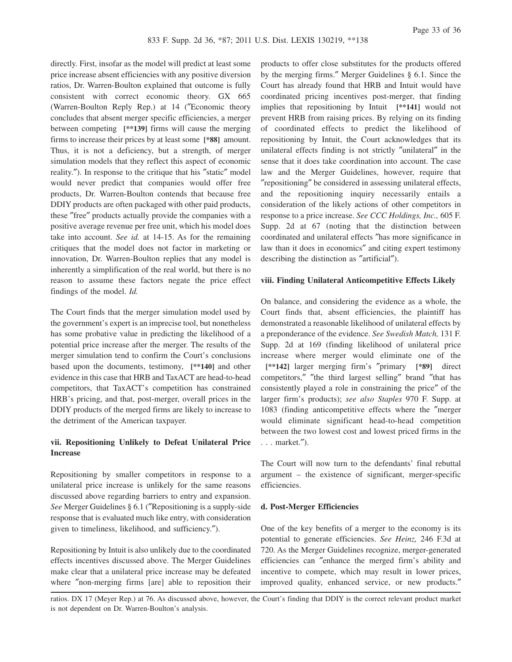directly. First, insofar as the model will predict at least some price increase absent efficiencies with any positive diversion ratios, Dr. Warren-Boulton explained that outcome is fully consistent with correct economic theory. GX 665 (Warren-Boulton Reply Rep.) at 14 (″Economic theory concludes that absent merger specific efficiencies, a merger between competing **[\*\*139]** firms will cause the merging firms to increase their prices by at least some **[\*88]** amount. Thus, it is not a deficiency, but a strength, of merger simulation models that they reflect this aspect of economic reality.″). In response to the critique that his ″static″ model would never predict that companies would offer free products, Dr. Warren-Boulton contends that because free DDIY products are often packaged with other paid products, these ″free″ products actually provide the companies with a positive average revenue per free unit, which his model does take into account. *See id.* at 14-15. As for the remaining critiques that the model does not factor in marketing or innovation, Dr. Warren-Boulton replies that any model is inherently a simplification of the real world, but there is no reason to assume these factors negate the price effect findings of the model. *Id.*

The Court finds that the merger simulation model used by the government's expert is an imprecise tool, but nonetheless has some probative value in predicting the likelihood of a potential price increase after the merger. The results of the merger simulation tend to confirm the Court's conclusions based upon the documents, testimony, **[\*\*140]** and other evidence in this case that HRB and TaxACT are head-to-head competitors, that TaxACT's competition has constrained HRB's pricing, and that, post-merger, overall prices in the DDIY products of the merged firms are likely to increase to the detriment of the American taxpayer.

# **vii. Repositioning Unlikely to Defeat Unilateral Price Increase**

Repositioning by smaller competitors in response to a unilateral price increase is unlikely for the same reasons discussed above regarding barriers to entry and expansion. *See* Merger Guidelines § 6.1 (″Repositioning is a supply-side response that is evaluated much like entry, with consideration given to timeliness, likelihood, and sufficiency.″).

Repositioning by Intuit is also unlikely due to the coordinated effects incentives discussed above. The Merger Guidelines make clear that a unilateral price increase may be defeated where ″non-merging firms [are] able to reposition their products to offer close substitutes for the products offered by the merging firms.″ Merger Guidelines § 6.1. Since the Court has already found that HRB and Intuit would have coordinated pricing incentives post-merger, that finding implies that repositioning by Intuit **[\*\*141]** would not prevent HRB from raising prices. By relying on its finding of coordinated effects to predict the likelihood of repositioning by Intuit, the Court acknowledges that its unilateral effects finding is not strictly ″unilateral″ in the sense that it does take coordination into account. The case law and the Merger Guidelines, however, require that ″repositioning″ be considered in assessing unilateral effects, and the repositioning inquiry necessarily entails a consideration of the likely actions of other competitors in response to a price increase. *See CCC Holdings, Inc.,* 605 F. Supp. 2d at 67 (noting that the distinction between coordinated and unilateral effects ″has more significance in law than it does in economics″ and citing expert testimony describing the distinction as ″artificial″).

### **viii. Finding Unilateral Anticompetitive Effects Likely**

On balance, and considering the evidence as a whole, the Court finds that, absent efficiencies, the plaintiff has demonstrated a reasonable likelihood of unilateral effects by a preponderance of the evidence. *See Swedish Match,* 131 F. Supp. 2d at 169 (finding likelihood of unilateral price increase where merger would eliminate one of the **[\*\*142]** larger merging firm's ″primary **[\*89]** direct competitors,″ ″the third largest selling″ brand ″that has consistently played a role in constraining the price″ of the larger firm's products); *see also Staples* 970 F. Supp. at 1083 (finding anticompetitive effects where the ″merger would eliminate significant head-to-head competition between the two lowest cost and lowest priced firms in the . . . market.″).

The Court will now turn to the defendants' final rebuttal argument – the existence of significant, merger-specific efficiencies.

### **d. Post-Merger Efficiencies**

One of the key benefits of a merger to the economy is its potential to generate efficiencies. *See Heinz,* 246 F.3d at 720. As the Merger Guidelines recognize, merger-generated efficiencies can ″enhance the merged firm's ability and incentive to compete, which may result in lower prices, improved quality, enhanced service, or new products.″

ratios. DX 17 (Meyer Rep.) at 76. As discussed above, however, the Court's finding that DDIY is the correct relevant product market is not dependent on Dr. Warren-Boulton's analysis.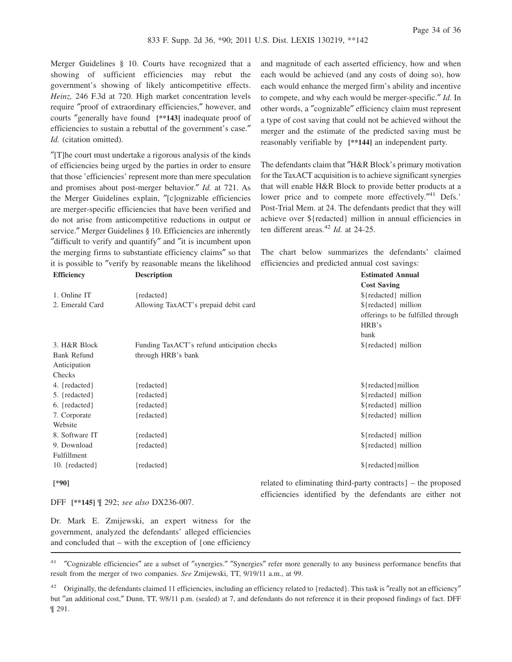Merger Guidelines § 10. Courts have recognized that a showing of sufficient efficiencies may rebut the government's showing of likely anticompetitive effects. *Heinz,* 246 F.3d at 720. High market concentration levels require ″proof of extraordinary efficiencies,″ however, and courts ″generally have found **[\*\*143]** inadequate proof of efficiencies to sustain a rebuttal of the government's case.″ *Id.* (citation omitted).

″[T]he court must undertake a rigorous analysis of the kinds of efficiencies being urged by the parties in order to ensure that those 'efficiencies' represent more than mere speculation and promises about post-merger behavior.″ *Id.* at 721. As the Merger Guidelines explain, ″[c]ognizable efficiencies are merger-specific efficiencies that have been verified and do not arise from anticompetitive reductions in output or service." Merger Guidelines § 10. Efficiencies are inherently ″difficult to verify and quantify″ and ″it is incumbent upon the merging firms to substantiate efficiency claims″ so that it is possible to ″verify by reasonable means the likelihood

and magnitude of each asserted efficiency, how and when each would be achieved (and any costs of doing so), how each would enhance the merged firm's ability and incentive to compete, and why each would be merger-specific.″ *Id.* In other words, a ″cognizable″ efficiency claim must represent a type of cost saving that could not be achieved without the merger and the estimate of the predicted saving must be reasonably verifiable by **[\*\*144]** an independent party.

The defendants claim that "H&R Block's primary motivation" for the TaxACT acquisition is to achieve significant synergies that will enable H&R Block to provide better products at a lower price and to compete more effectively."<sup>41</sup> Defs.' Post-Trial Mem. at 24. The defendants predict that they will achieve over \${redacted} million in annual efficiencies in ten different areas.<sup>42</sup> *Id.* at 24-25.

The chart below summarizes the defendants' claimed efficiencies and predicted annual cost savings:

| <b>Efficiency</b>  | <b>Description</b>                          | <b>Estimated Annual</b>           |
|--------------------|---------------------------------------------|-----------------------------------|
|                    |                                             | <b>Cost Saving</b>                |
| 1. Online IT       | ${redacted}$                                | \${redacted} million              |
| 2. Emerald Card    | Allowing TaxACT's prepaid debit card        | \${redacted} million              |
|                    |                                             | offerings to be fulfilled through |
|                    |                                             | HRB's                             |
|                    |                                             | bank                              |
| 3. H&R Block       | Funding TaxACT's refund anticipation checks | \${redacted} million              |
| <b>Bank Refund</b> | through HRB's bank                          |                                   |
| Anticipation       |                                             |                                   |
| Checks             |                                             |                                   |
| 4. {redacted}      | {redacted}                                  | \${redacted}million               |
| 5. {redacted}      | {redacted}                                  | \${redacted} million              |
| $6.$ {redacted}    | {redacted}                                  | \${redacted} million              |
| 7. Corporate       | {redacted}                                  | \${redacted} million              |
| Website            |                                             |                                   |
| 8. Software IT     | ${redacted}$                                | \${redacted} million              |
| 9. Download        | {redacted}                                  | \${redacted} million              |
| Fulfillment        |                                             |                                   |
| 10. ${redacted}$   | {redacted}                                  | \${redacted}million               |
|                    |                                             |                                   |

**[\*90]**

DFF **[\*\*145]** ¶ 292; *see also* DX236-007.

related to eliminating third-party contracts} – the proposed efficiencies identified by the defendants are either not

Dr. Mark E. Zmijewski, an expert witness for the government, analyzed the defendants' alleged efficiencies and concluded that – with the exception of {one efficiency

<sup>41</sup> ″Cognizable efficiencies″ are a subset of ″synergies.″ ″Synergies″ refer more generally to any business performance benefits that result from the merger of two companies. *See* Zmijewski, TT, 9/19/11 a.m., at 99.

<sup>&</sup>lt;sup>42</sup> Originally, the defendants claimed 11 efficiencies, including an efficiency related to {redacted}. This task is "really not an efficiency" but ″an additional cost,″ Dunn, TT, 9/8/11 p.m. (sealed) at 7, and defendants do not reference it in their proposed findings of fact. DFF ¶ 291.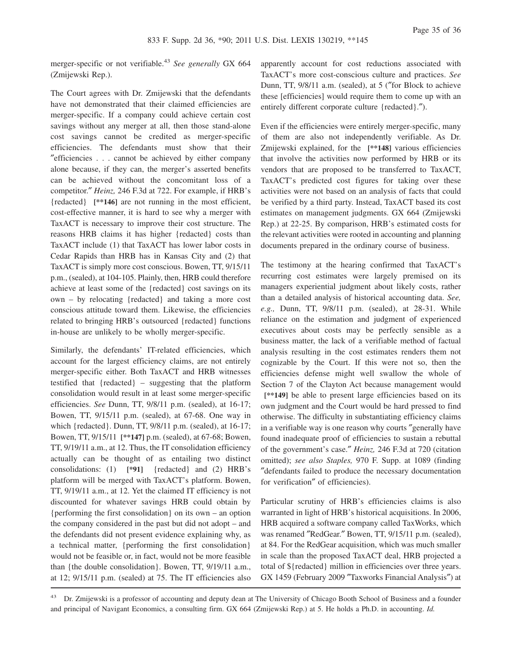merger-specific or not verifiable.<sup>43</sup> See generally GX 664 (Zmijewski Rep.).

The Court agrees with Dr. Zmijewski that the defendants have not demonstrated that their claimed efficiencies are merger-specific. If a company could achieve certain cost savings without any merger at all, then those stand-alone cost savings cannot be credited as merger-specific efficiencies. The defendants must show that their ″efficiencies . . . cannot be achieved by either company alone because, if they can, the merger's asserted benefits can be achieved without the concomitant loss of a competitor.″ *Heinz,* 246 F.3d at 722. For example, if HRB's {redacted} **[\*\*146]** are not running in the most efficient, cost-effective manner, it is hard to see why a merger with TaxACT is necessary to improve their cost structure. The reasons HRB claims it has higher {redacted} costs than TaxACT include (1) that TaxACT has lower labor costs in Cedar Rapids than HRB has in Kansas City and (2) that TaxACT is simply more cost conscious. Bowen, TT, 9/15/11 p.m., (sealed), at 104-105. Plainly, then, HRB could therefore achieve at least some of the {redacted} cost savings on its own – by relocating {redacted} and taking a more cost conscious attitude toward them. Likewise, the efficiencies related to bringing HRB's outsourced {redacted} functions in-house are unlikely to be wholly merger-specific.

Similarly, the defendants' IT-related efficiencies, which account for the largest efficiency claims, are not entirely merger-specific either. Both TaxACT and HRB witnesses testified that {redacted} – suggesting that the platform consolidation would result in at least some merger-specific efficiencies. *See* Dunn, TT, 9/8/11 p.m. (sealed), at 16-17; Bowen, TT, 9/15/11 p.m. (sealed), at 67-68. One way in which {redacted}. Dunn, TT, 9/8/11 p.m. (sealed), at 16-17; Bowen, TT, 9/15/11 **[\*\*147]** p.m. (sealed), at 67-68; Bowen, TT, 9/19/11 a.m., at 12. Thus, the IT consolidation efficiency actually can be thought of as entailing two distinct consolidations: (1) **[\*91]** {redacted} and (2) HRB's platform will be merged with TaxACT's platform. Bowen, TT, 9/19/11 a.m., at 12. Yet the claimed IT efficiency is not discounted for whatever savings HRB could obtain by {performing the first consolidation} on its own – an option the company considered in the past but did not adopt – and the defendants did not present evidence explaining why, as a technical matter, {performing the first consolidation} would not be feasible or, in fact, would not be more feasible than {the double consolidation}. Bowen, TT, 9/19/11 a.m., at 12; 9/15/11 p.m. (sealed) at 75. The IT efficiencies also

apparently account for cost reductions associated with TaxACT's more cost-conscious culture and practices. *See* Dunn, TT, 9/8/11 a.m. (sealed), at 5 (″for Block to achieve these [efficiencies] would require them to come up with an entirely different corporate culture {redacted}.").

Even if the efficiencies were entirely merger-specific, many of them are also not independently verifiable. As Dr. Zmijewski explained, for the **[\*\*148]** various efficiencies that involve the activities now performed by HRB or its vendors that are proposed to be transferred to TaxACT, TaxACT's predicted cost figures for taking over these activities were not based on an analysis of facts that could be verified by a third party. Instead, TaxACT based its cost estimates on management judgments. GX 664 (Zmijewski Rep.) at 22-25. By comparison, HRB's estimated costs for the relevant activities were rooted in accounting and planning documents prepared in the ordinary course of business.

The testimony at the hearing confirmed that TaxACT's recurring cost estimates were largely premised on its managers experiential judgment about likely costs, rather than a detailed analysis of historical accounting data. *See, e.g.,* Dunn, TT, 9/8/11 p.m. (sealed), at 28-31. While reliance on the estimation and judgment of experienced executives about costs may be perfectly sensible as a business matter, the lack of a verifiable method of factual analysis resulting in the cost estimates renders them not cognizable by the Court. If this were not so, then the efficiencies defense might well swallow the whole of Section 7 of the Clayton Act because management would **[\*\*149]** be able to present large efficiencies based on its own judgment and the Court would be hard pressed to find otherwise. The difficulty in substantiating efficiency claims in a verifiable way is one reason why courts ″generally have found inadequate proof of efficiencies to sustain a rebuttal of the government's case.″ *Heinz,* 246 F.3d at 720 (citation omitted); *see also Staples,* 970 F. Supp. at 1089 (finding ″defendants failed to produce the necessary documentation for verification″ of efficiencies).

Particular scrutiny of HRB's efficiencies claims is also warranted in light of HRB's historical acquisitions. In 2006, HRB acquired a software company called TaxWorks, which was renamed ″RedGear.″ Bowen, TT, 9/15/11 p.m. (sealed), at 84. For the RedGear acquisition, which was much smaller in scale than the proposed TaxACT deal, HRB projected a total of \${redacted} million in efficiencies over three years. GX 1459 (February 2009 ″Taxworks Financial Analysis″) at

<sup>&</sup>lt;sup>43</sup> Dr. Zmijewski is a professor of accounting and deputy dean at The University of Chicago Booth School of Business and a founder and principal of Navigant Economics, a consulting firm. GX 664 (Zmijewski Rep.) at 5. He holds a Ph.D. in accounting. *Id.*